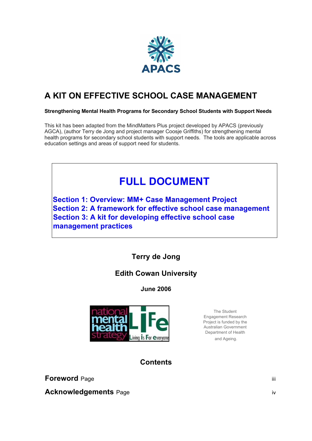

# **A KIT ON EFFECTIVE SCHOOL CASE MANAGEMENT**

#### **Strengthening Mental Health Programs for Secondary School Students with Support Needs**

This kit has been adapted from the MindMatters Plus project developed by APACS (previously AGCA), (author Terry de Jong and project manager Coosje Griffiths) for strengthening mental health programs for secondary school students with support needs. The tools are applicable across education settings and areas of support need for students.

# **FULL DOCUMENT**

**Section 1: Overview: MM+ Case Management Project Section 2: A framework for effective school case management Section 3: A kit for developing effective school case management practices** 

# **Terry de Jong**

# **Edith Cowan University**

**June 2006** 



The Student Engagement Research Project is funded by the Australian Government Department of Health and Ageing.

# **Contents**

**Foreword** Page iii

**Acknowledgements** Page iversity and the set of the set of the set of the set of the set of the set of the set of the set of the set of the set of the set of the set of the set of the set of the set of the set of the set o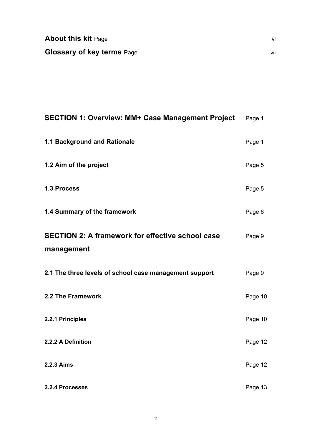| <b>About this kit Page</b>        |  |
|-----------------------------------|--|
| <b>Glossary of key terms Page</b> |  |

| <b>SECTION 1: Overview: MM+ Case Management Project</b>               | Page 1  |
|-----------------------------------------------------------------------|---------|
| 1.1 Background and Rationale                                          | Page 1  |
| 1.2 Aim of the project                                                | Page 5  |
| 1.3 Process                                                           | Page 5  |
| 1.4 Summary of the framework                                          | Page 6  |
| <b>SECTION 2: A framework for effective school case</b><br>management | Page 9  |
| 2.1 The three levels of school case management support                | Page 9  |
| 2.2 The Framework                                                     | Page 10 |
| 2.2.1 Principles                                                      | Page 10 |
| 2.2.2 A Definition                                                    | Page 12 |
| 2.2.3 Aims                                                            | Page 12 |
| 2.2.4 Processes                                                       | Page 13 |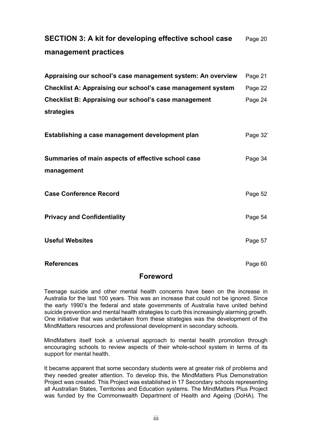# **SECTION 3: A kit for developing effective school case** Page 20 **management practices**

| Page 21 |
|---------|
| Page 22 |
| Page 24 |
|         |
|         |

| Establishing a case management development plan                  | Page 32 |
|------------------------------------------------------------------|---------|
| Summaries of main aspects of effective school case<br>management | Page 34 |
| <b>Case Conference Record</b>                                    | Page 52 |
| <b>Privacy and Confidentiality</b>                               | Page 54 |
| <b>Useful Websites</b>                                           | Page 57 |
| <b>References</b>                                                | Page 60 |

## **Foreword**

Teenage suicide and other mental health concerns have been on the increase in Australia for the last 100 years. This was an increase that could not be ignored. Since the early 1990's the federal and state governments of Australia have united behind suicide prevention and mental health strategies to curb this increasingly alarming growth. One initiative that was undertaken from these strategies was the development of the MindMatters resources and professional development in secondary schools.

MindMatters itself took a universal approach to mental health promotion through encouraging schools to review aspects of their whole-school system in terms of its support for mental health.

It became apparent that some secondary students were at greater risk of problems and they needed greater attention. To develop this, the MindMatters Plus Demonstration Project was created. This Project was established in 17 Secondary schools representing all Australian States, Territories and Education systems. The MindMatters Plus Project was funded by the Commonwealth Department of Health and Ageing (DoHA). The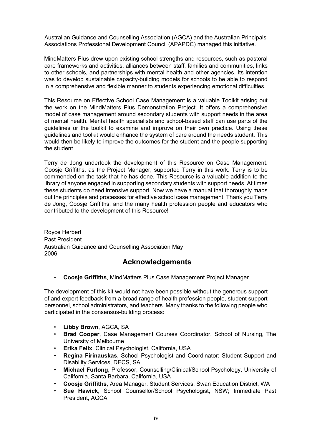Australian Guidance and Counselling Association (AGCA) and the Australian Principals' Associations Professional Development Council (APAPDC) managed this initiative.

MindMatters Plus drew upon existing school strengths and resources, such as pastoral care frameworks and activities, alliances between staff, families and communities, links to other schools, and partnerships with mental health and other agencies. Its intention was to develop sustainable capacity-building models for schools to be able to respond in a comprehensive and flexible manner to students experiencing emotional difficulties.

This Resource on Effective School Case Management is a valuable Toolkit arising out the work on the MindMatters Plus Demonstration Project. It offers a comprehensive model of case management around secondary students with support needs in the area of mental health. Mental health specialists and school-based staff can use parts of the guidelines or the toolkit to examine and improve on their own practice. Using these guidelines and toolkit would enhance the system of care around the needs student. This would then be likely to improve the outcomes for the student and the people supporting the student.

Terry de Jong undertook the development of this Resource on Case Management. Coosje Griffiths, as the Project Manager, supported Terry in this work. Terry is to be commended on the task that he has done. This Resource is a valuable addition to the library of anyone engaged in supporting secondary students with support needs. At times these students do need intensive support. Now we have a manual that thoroughly maps out the principles and processes for effective school case management. Thank you Terry de Jong, Coosje Griffiths, and the many health profession people and educators who contributed to the development of this Resource!

Royce Herbert Past President Australian Guidance and Counselling Association May 2006

# **Acknowledgements**

• **Coosje Griffiths**, MindMatters Plus Case Management Project Manager

The development of this kit would not have been possible without the generous support of and expert feedback from a broad range of health profession people, student support personnel, school administrators, and teachers. Many thanks to the following people who participated in the consensus-building process:

- **Libby Brown**, AGCA, SA
- **Brad Cooper**, Case Management Courses Coordinator, School of Nursing, The University of Melbourne
- **Erika Felix**, Clinical Psychologist, California, USA
- **Regina Firinauskas**, School Psychologist and Coordinator: Student Support and Disability Services, DECS, SA
- **Michael Furlong**, Professor, Counselling/Clinical/School Psychology, University of California, Santa Barbara, California, USA
- **Coosje Griffiths**, Area Manager, Student Services, Swan Education District, WA
- **Sue Hawick**, School Counsellor/School Psychologist, NSW; Immediate Past President, AGCA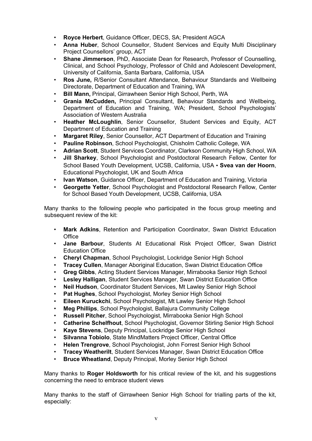- **Royce Herbert**, Guidance Officer, DECS, SA; President AGCA
- **Anna Huber**, School Counsellor, Student Services and Equity Multi Disciplinary Project Counsellors' group, ACT
- **Shane Jimmerson**, PhD, Associate Dean for Research, Professor of Counselling, Clinical, and School Psychology, Professor of Child and Adolescent Development, University of California, Santa Barbara, California, USA
- **Ros June,** R/Senior Consultant Attendance, Behaviour Standards and Wellbeing Directorate, Department of Education and Training, WA
- **Bill Mann,** Principal, Girrawheen Senior High School, Perth, WA
- **Grania McCudden,** Principal Consultant, Behaviour Standards and Wellbeing, Department of Education and Training, WA; President, School Psychologists' Association of Western Australia
- **Heather McLoughlin**, Senior Counsellor, Student Services and Equity, ACT Department of Education and Training
- **Margaret Riley**, Senior Counsellor, ACT Department of Education and Training
- **Pauline Robinson**, School Psychologist, Chisholm Catholic College, WA
- **Adrian Scott**, Student Services Coordinator, Clarkson Community High School, WA
- **Jill Sharkey**, School Psychologist and Postdoctoral Research Fellow, Center for School Based Youth Development, UCSB, California, USA • **Svea van der Hoorn**, Educational Psychologist, UK and South Africa
- **Ivan Watson, Guidance Officer, Department of Education and Training, Victoria**
- **Georgette Yetter**, School Psychologist and Postdoctoral Research Fellow, Center for School Based Youth Development, UCSB, California, USA

Many thanks to the following people who participated in the focus group meeting and subsequent review of the kit:

- **Mark Adkins**, Retention and Participation Coordinator, Swan District Education **Office**
- **Jane Barbour**, Students At Educational Risk Project Officer, Swan District Education Office
- **Cheryl Chapman**, School Psychologist, Lockridge Senior High School
- **Tracey Cullen**, Manager Aboriginal Education, Swan District Education Office
- **Greg Gibbs**, Acting Student Services Manager, Mirrabooka Senior High School
- **Lesley Halligan**, Student Services Manager, Swan District Education Office
- **Neil Hudson**, Coordinator Student Services, Mt Lawley Senior High School
- Pat Hughes, School Psychologist, Morley Senior High School
- **Eileen Kuruckchi**, School Psychologist, Mt Lawley Senior High School
- **Meg Phillips**, School Psychologist, Ballajura Community College
- **Russell Pitcher**, School Psychologist, Mirrabooka Senior High School
- **Catherine Schelfhout**, School Psychologist, Governor Stirling Senior High School
- **Kaye Stevens**, Deputy Principal, Lockridge Senior High School
- **Silvanna Tobiolo**, State MindMatters Project Officer, Central Office
- **Helen Trengrove**, School Psychologist, John Forrest Senior High School
- **Tracey Weatherilt**, Student Services Manager, Swan District Education Office
- **Bruce Wheatland**, Deputy Principal, Morley Senior High School

Many thanks to **Roger Holdsworth** for his critical review of the kit, and his suggestions concerning the need to embrace student views

Many thanks to the staff of Girrawheen Senior High School for trialling parts of the kit, especially: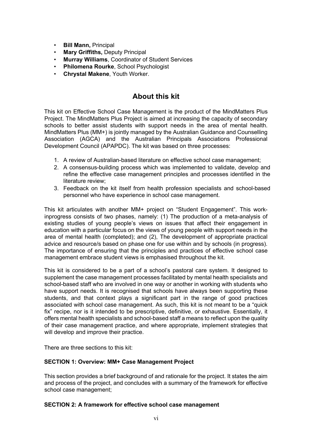- **Bill Mann,** Principal
- **Mary Griffiths,** Deputy Principal
- **Murray Williams**, Coordinator of Student Services
- **Philomena Rourke**, School Psychologist
- **Chrystal Makene**, Youth Worker.

# **About this kit**

This kit on Effective School Case Management is the product of the MindMatters Plus Project. The MindMatters Plus Project is aimed at increasing the capacity of secondary schools to better assist students with support needs in the area of mental health. MindMatters Plus (MM+) is jointly managed by the Australian Guidance and Counselling Association (AGCA) and the Australian Principals Associations Professional Development Council (APAPDC). The kit was based on three processes:

- 1. A review of Australian-based literature on effective school case management;
- 2. A consensus-building process which was implemented to validate, develop and refine the effective case management principles and processes identified in the literature review;
- 3. Feedback on the kit itself from health profession specialists and school-based personnel who have experience in school case management.

This kit articulates with another MM+ project on "Student Engagement". This workinprogress consists of two phases, namely: (1) The production of a meta-analysis of existing studies of young people's views on issues that affect their engagement in education with a particular focus on the views of young people with support needs in the area of mental health (completed); and (2), The development of appropriate practical advice and resource/s based on phase one for use within and by schools (in progress). The importance of ensuring that the principles and practices of effective school case management embrace student views is emphasised throughout the kit.

This kit is considered to be a part of a school's pastoral care system. It designed to supplement the case management processes facilitated by mental health specialists and school-based staff who are involved in one way or another in working with students who have support needs. It is recognised that schools have always been supporting these students, and that context plays a significant part in the range of good practices associated with school case management. As such, this kit is not meant to be a "quick fix" recipe, nor is it intended to be prescriptive, definitive, or exhaustive. Essentially, it offers mental health specialists and school-based staff a means to reflect upon the quality of their case management practice, and where appropriate, implement strategies that will develop and improve their practice.

There are three sections to this kit:

## **SECTION 1: Overview: MM+ Case Management Project**

This section provides a brief background of and rationale for the project. It states the aim and process of the project, and concludes with a summary of the framework for effective school case management;

#### **SECTION 2: A framework for effective school case management**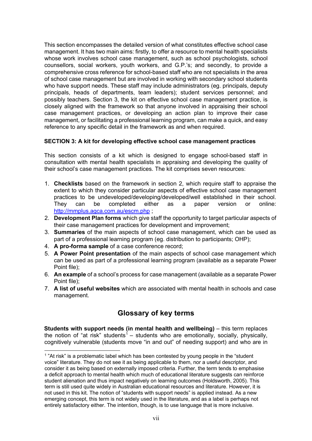This section encompasses the detailed version of what constitutes effective school case management. It has two main aims: firstly, to offer a resource to mental health specialists whose work involves school case management, such as school psychologists, school counsellors, social workers, youth workers, and G.P.'s; and secondly, to provide a comprehensive cross reference for school-based staff who are not specialists in the area of school case management but are involved in working with secondary school students who have support needs. These staff may include administrators (eg. principals, deputy principals, heads of departments, team leaders); student services personnel; and possibly teachers. Section 3, the kit on effective school case management practice, is closely aligned with the framework so that anyone involved in appraising their school case management practices, or developing an action plan to improve their case management, or facilitating a professional learning program, can make a quick, and easy reference to any specific detail in the framework as and when required.

#### **SECTION 3: A kit for developing effective school case management practices**

This section consists of a kit which is designed to engage school-based staff in consultation with mental health specialists in appraising and developing the quality of their school's case management practices. The kit comprises seven resources:

- 1. **Checklists** based on the framework in section 2, which require staff to appraise the extent to which they consider particular aspects of effective school case management practices to be undeveloped/developing/developed/well established in their school. They can be completed either as a paper version or online: http://mmplus.agca.com.au/escm.php ;
- 2. **Development Plan forms** which give staff the opportunity to target particular aspects of their case management practices for development and improvement;
- 3. **Summaries** of the main aspects of school case management, which can be used as part of a professional learning program (eg. distribution to participants; OHP);
- 4. **A pro-forma sample** of a case conference record;
- 5. **A Power Point presentation** of the main aspects of school case management which can be used as part of a professional learning program (available as a separate Power Point file);
- 6. **An example** of a school's process for case management (available as a separate Power Point file);
- 7. **A list of useful websites** which are associated with mental health in schools and case management.

# **Glossary of key terms**

**Students with support needs (in mental health and wellbeing)** – this term replaces the notion of "at risk" students<sup>1</sup> – students who are emotionally, socially, physically, cognitively vulnerable (students move "in and out" of needing support) and who are in

 $1$  "At risk" is a problematic label which has been contested by young people in the "student voice" literature. They do not see it as being applicable to them, nor a useful descriptor, and consider it as being based on externally imposed criteria. Further, the term tends to emphasise a deficit approach to mental health which much of educational literature suggests can reinforce student alienation and thus impact negatively on learning outcomes (Holdsworth, 2005). This term is still used quite widely in Australian educational resources and literature. However, it is not used in this kit. The notion of "students with support needs" is applied instead. As a new emerging concept, this term is not widely used in the literature, and as a label is perhaps not entirely satisfactory either. The intention, though, is to use language that is more inclusive.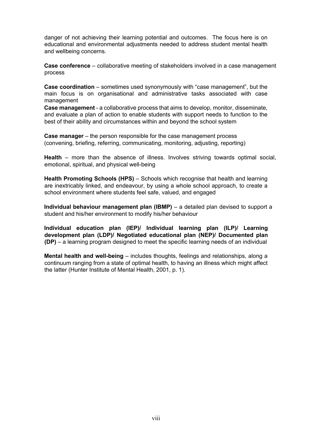danger of not achieving their learning potential and outcomes. The focus here is on educational and environmental adjustments needed to address student mental health and wellbeing concerns.

**Case conference** – collaborative meeting of stakeholders involved in a case management process

**Case coordination** – sometimes used synonymously with "case management", but the main focus is on organisational and administrative tasks associated with case management

**Case management** - a collaborative process that aims to develop, monitor, disseminate, and evaluate a plan of action to enable students with support needs to function to the best of their ability and circumstances within and beyond the school system

**Case manager** – the person responsible for the case management process (convening, briefing, referring, communicating, monitoring, adjusting, reporting)

**Health** – more than the absence of illness. Involves striving towards optimal social, emotional, spiritual, and physical well-being

**Health Promoting Schools (HPS)** – Schools which recognise that health and learning are inextricably linked, and endeavour, by using a whole school approach, to create a school environment where students feel safe, valued, and engaged

**Individual behaviour management plan (IBMP)** – a detailed plan devised to support a student and his/her environment to modify his/her behaviour

**Individual education plan (IEP)/ Individual learning plan (ILP)/ Learning development plan (LDP)/ Negotiated educational plan (NEP)/ Documented plan (DP)** – a learning program designed to meet the specific learning needs of an individual

**Mental health and well-being** – includes thoughts, feelings and relationships, along a continuum ranging from a state of optimal health, to having an illness which might affect the latter (Hunter Institute of Mental Health, 2001, p. 1).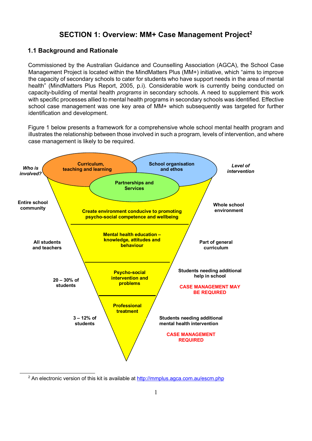## **SECTION 1: Overview: MM+ Case Management Project2**

## **1.1 Background and Rationale**

Commissioned by the Australian Guidance and Counselling Association (AGCA), the School Case Management Project is located within the MindMatters Plus (MM+) initiative, which "aims to improve the capacity of secondary schools to cater for students who have support needs in the area of mental health" (MindMatters Plus Report, 2005, p.i). Considerable work is currently being conducted on capacity-building of mental health *programs* in secondary schools. A need to supplement this work with specific processes allied to mental health programs in secondary schools was identified. Effective school case management was one key area of MM+ which subsequently was targeted for further identification and development.

Figure 1 below presents a framework for a comprehensive whole school mental health program and illustrates the relationship between those involved in such a program, levels of intervention, and where case management is likely to be required.



<sup>&</sup>lt;sup>2</sup> An electronic version of this kit is available at http://mmplus.agca.com.au/escm.php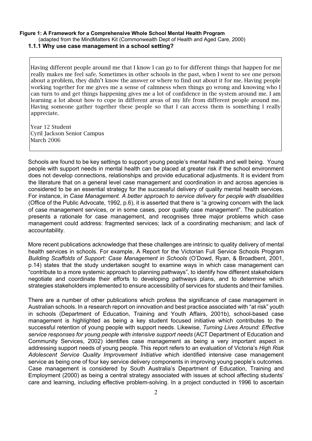#### **Figure 1: A Framework for a Comprehensive Whole School Mental Health Program**  (adapted from the MindMatters Kit (Commonwealth Dept of Health and Aged Care, 2000)

**1.1.1 Why use case management in a school setting?**

Having different people around me that I know I can go to for different things that happen for me really makes me feel safe. Sometimes in other schools in the past, when I went to see one person about a problem, they didn't know the answer or where to find out about it for me. Having people working together for me gives me a sense of calmness when things go wrong and knowing who I can turn to and get things happening gives me a lot of confidence in the system around me. I am learning a lot about how to cope in different areas of my life from different people around me. Having someone gather together these people so that I can access them is something I really appreciate.

Year 12 Student Cyril Jackson Senior Campus March 2006

Schools are found to be key settings to support young people's mental health and well being. Young people with support needs in mental health can be placed at greater risk if the school environment does not develop connections, relationships and provide educational adjustments. It is evident from the literature that on a general level case management and coordination in and across agencies is considered to be an essential strategy for the successful delivery of quality mental health services. For instance, in *Case Management. A better approach to service delivery for people with disabilities* (Office of the Public Advocate, 1992, p.6), it is asserted that there is "a growing concern with the lack of case management services, or in some cases, poor quality case management". The publication presents a rationale for case management, and recognises three major problems which case management could address: fragmented services; lack of a coordinating mechanism; and lack of accountability.

More recent publications acknowledge that these challenges are intrinsic to quality delivery of mental health services in schools. For example, A Report for the Victorian Full Service Schools Program *Building Scaffolds of Support: Case Management in Schools* (O'Dowd, Ryan, & Broadbent, 2001, p.14) states that the study undertaken sought to examine ways in which case management can "contribute to a more systemic approach to planning pathways", to identify how different stakeholders negotiate and coordinate their efforts to developing pathways plans, and to determine which strategies stakeholders implemented to ensure accessibility of services for students and their families.

There are a number of other publications which profess the significance of case management in Australian schools. In a research report on innovation and best practice associated with "at risk" youth in schools (Department of Education, Training and Youth Affairs, 2001b), school-based case management is highlighted as being a key student focused initiative which contributes to the successful retention of young people with support needs. Likewise, *Turning Lives Around: Effective service responses for young people with intensive support needs* (ACT Department of Education and Community Services, 2002) identifies case management as being a very important aspect in addressing support needs of young people. This report refers to an evaluation of Victoria's *High Risk Adolescent Service Quality Improvement Initiative* which identified intensive case management service as being one of four key service delivery components in improving young people's outcomes. Case management is considered by South Australia's Department of Education, Training and Employment (2000) as being a central strategy associated with issues at school affecting students' care and learning, including effective problem-solving. In a project conducted in 1996 to ascertain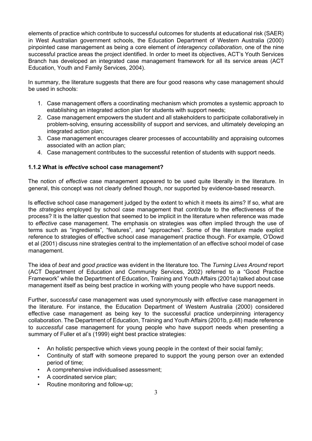elements of practice which contribute to successful outcomes for students at educational risk (SAER) in West Australian government schools, the Education Department of Western Australia (2000) pinpointed case management as being a core element of *interagency collaboration*, one of the nine successful practice areas the project identified. In order to meet its objectives, ACT's Youth Services Branch has developed an integrated case management framework for all its service areas (ACT Education, Youth and Family Services, 2004).

In summary, the literature suggests that there are four good reasons why case management should be used in schools:

- 1. Case management offers a coordinating mechanism which promotes a systemic approach to establishing an integrated action plan for students with support needs;
- 2. Case management empowers the student and all stakeholders to participate collaboratively in problem-solving, ensuring accessibility of support and services, and ultimately developing an integrated action plan;
- 3. Case management encourages clearer processes of accountability and appraising outcomes associated with an action plan;
- 4. Case management contributes to the successful retention of students with support needs.

## **1.1.2 What is** *effective* **school case management?**

The notion of *effective* case management appeared to be used quite liberally in the literature. In general, this concept was not clearly defined though, nor supported by evidence-based research.

Is effective school case management judged by the extent to which it meets its aims? If so, what are the *strategies* employed by school case management that contribute to the effectiveness of the process? It is the latter question that seemed to be implicit in the literature when reference was made to *effective* case management. The emphasis on strategies was often implied through the use of terms such as "ingredients", "features", and "approaches". Some of the literature made explicit reference to strategies of effective school case management practice though. For example, O'Dowd et al (2001) discuss nine strategies central to the implementation of an effective school model of case management.

The idea of *best* and *good practice* was evident in the literature too. The *Turning Lives Around* report (ACT Department of Education and Community Services, 2002) referred to a "Good Practice Framework" while the Department of Education, Training and Youth Affairs (2001a) talked about case management itself as being best practice in working with young people who have support needs.

Further, s*uccessful* case management was used synonymously with *effective* case management in the literature. For instance, the Education Department of Western Australia (2000) considered effective case management as being key to the successful practice underpinning interagency collaboration. The Department of Education, Training and Youth Affairs (2001b, p.48) made reference to *successful* case management for young people who have support needs when presenting a summary of Fuller et al's (1999) eight best practice strategies:

- An holistic perspective which views young people in the context of their social family;
- Continuity of staff with someone prepared to support the young person over an extended period of time;
- A comprehensive individualised assessment;
- A coordinated service plan;
- Routine monitoring and follow-up;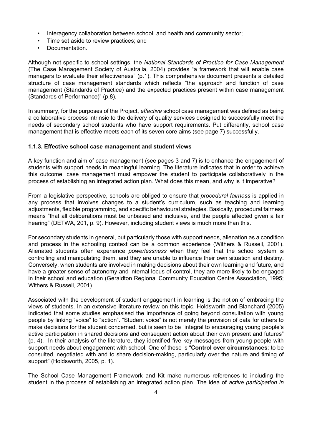- Interagency collaboration between school, and health and community sector;
- Time set aside to review practices; and
- Documentation.

Although not specific to school settings, the *National Standards of Practice for Case Management*  (The Case Management Society of Australia, 2004) provides "a framework that will enable case managers to evaluate their effectiveness" (p.1). This comprehensive document presents a detailed structure of case management standards which reflects "the approach and function of case management (Standards of Practice) and the expected practices present within case management (Standards of Performance)" (p.8).

In summary, for the purposes of the Project, *effective* school case management was defined as being a collaborative process intrinsic to the delivery of quality services designed to successfully meet the needs of secondary school students who have support requirements. Put differently, school case management that is effective meets each of its seven core aims (see page 7) successfully.

#### **1.1.3. Effective school case management and student views**

A key function and aim of case management (see pages 3 and 7) is to enhance the engagement of students with support needs in meaningful learning. The literature indicates that in order to achieve this outcome, case management must empower the student to participate collaboratively in the process of establishing an integrated action plan. What does this mean, and why is it imperative?

From a legislative perspective, schools are obliged to ensure that *procedural fairness* is applied in any process that involves changes to a student's curriculum, such as teaching and learning adjustments, flexible programming, and specific behavioural strategies. Basically, procedural fairness means "that all deliberations must be unbiased and inclusive, and the people affected given a fair hearing" (DETWA, 201, p. 9). However, including student views is much more than this.

For secondary students in general, but particularly those with support needs, alienation as a condition and process in the schooling context can be a common experience (Withers & Russell, 2001). Alienated students often experience *powerlessness* when they feel that the school system is controlling and manipulating them, and they are unable to influence their own situation and destiny. Conversely, when students are involved in making decisions about their own learning and future, and have a greater sense of autonomy and internal locus of control, they are more likely to be engaged in their school and education (Geraldton Regional Community Education Centre Association, 1995; Withers & Russell, 2001).

Associated with the development of student engagement in learning is the notion of embracing the views of students. In an extensive literature review on this topic, Holdsworth and Blanchard (2005) indicated that some studies emphasised the importance of going beyond consultation with young people by linking "voice" to "action". "Student voice" is not merely the provision of data for others to make decisions for the student concerned, but is seen to be "integral to encouraging young people's active participation in shared decisions and consequent action about their own present and futures" (p. 4). In their analysis of the literature, they identified five key messages from young people with support needs about engagement with school. One of these is "**Control over circumstances**: to be consulted, negotiated with and to share decision-making, particularly over the nature and timing of support" (Holdsworth, 2005, p. 1).

The School Case Management Framework and Kit make numerous references to including the student in the process of establishing an integrated action plan. The idea of *active participation in*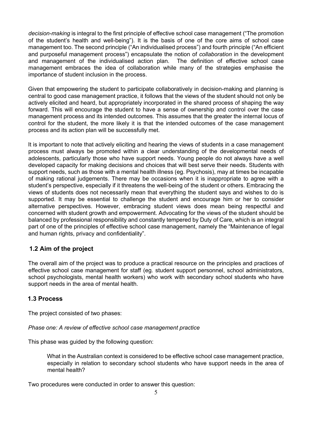*decision-making* is integral to the first principle of effective school case management ("The promotion of the student's health and well-being"). It is the basis of one of the core aims of school case management too. The second principle ("An individualised process") and fourth principle ("An efficient and purposeful management process") encapsulate the notion of *collaboration* in the development and management of the individualised action plan. The definition of effective school case management embraces the idea of collaboration while many of the strategies emphasise the importance of student inclusion in the process.

Given that empowering the student to participate collaboratively in decision-making and planning is central to good case management practice, it follows that the views of the student should not only be actively elicited and heard, but appropriately incorporated in the shared process of shaping the way forward. This will encourage the student to have a sense of ownership and control over the case management process and its intended outcomes. This assumes that the greater the internal locus of control for the student, the more likely it is that the intended outcomes of the case management process and its action plan will be successfully met.

It is important to note that actively eliciting and hearing the views of students in a case management process must always be promoted within a clear understanding of the developmental needs of adolescents, particularly those who have support needs. Young people do not always have a well developed capacity for making decisions and choices that will best serve their needs. Students with support needs, such as those with a mental health illness (eg. Psychosis), may at times be incapable of making rational judgements. There may be occasions when it is inappropriate to agree with a student's perspective, especially if it threatens the well-being of the student or others. Embracing the views of students does not necessarily mean that everything the student says and wishes to do is supported. It may be essential to challenge the student and encourage him or her to consider alternative perspectives. However, embracing student views does mean being respectful and concerned with student growth and empowerment. Advocating for the views of the student should be balanced by professional responsibility and constantly tempered by Duty of Care, which is an integral part of one of the principles of effective school case management, namely the "Maintenance of legal and human rights, privacy and confidentiality".

## **1.2 Aim of the project**

The overall aim of the project was to produce a practical resource on the principles and practices of effective school case management for staff (eg. student support personnel, school administrators, school psychologists, mental health workers) who work with secondary school students who have support needs in the area of mental health.

## **1.3 Process**

The project consisted of two phases:

*Phase one: A review of effective school case management practice*

This phase was guided by the following question:

What in the Australian context is considered to be effective school case management practice, especially in relation to secondary school students who have support needs in the area of mental health?

Two procedures were conducted in order to answer this question: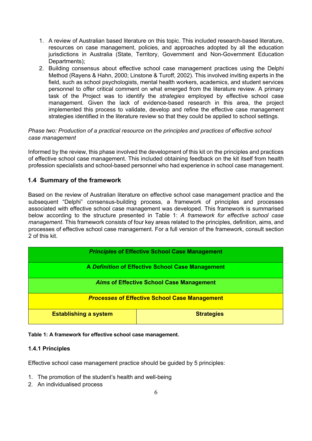- 1. A review of Australian based literature on this topic. This included research-based literature, resources on case management, policies, and approaches adopted by all the education jurisdictions in Australia (State, Territory, Government and Non-Government Education Departments);
- 2. Building consensus about effective school case management practices using the Delphi Method (Rayens & Hahn, 2000; Linstone & Turoff, 2002). This involved inviting experts in the field, such as school psychologists, mental health workers, academics, and student services personnel to offer critical comment on what emerged from the literature review. A primary task of the Project was to identify the *strategies* employed by effective school case management. Given the lack of evidence-based research in this area, the project implemented this process to validate, develop and refine the effective case management strategies identified in the literature review so that they could be applied to school settings.

#### *Phase two: Production of a practical resource on the principles and practices of effective school case management*

Informed by the review, this phase involved the development of this kit on the principles and practices of effective school case management. This included obtaining feedback on the kit itself from health profession specialists and school-based personnel who had experience in school case management.

## **1.4 Summary of the framework**

Based on the review of Australian literature on effective school case management practice and the subsequent "Delphi" consensus-building process, a framework of principles and processes associated with effective school case management was developed. This framework is summarised below according to the structure presented in Table 1: *A framework for effective school case management*. This framework consists of four key areas related to the principles, definition, aims, and processes of effective school case management. For a full version of the framework, consult section 2 of this kit.

| <b>Principles of Effective School Case Management</b> |                   |  |  |  |  |  |  |  |  |  |  |
|-------------------------------------------------------|-------------------|--|--|--|--|--|--|--|--|--|--|
| A Definition of Effective School Case Management      |                   |  |  |  |  |  |  |  |  |  |  |
| <b>Aims of Effective School Case Management</b>       |                   |  |  |  |  |  |  |  |  |  |  |
| <b>Processes of Effective School Case Management</b>  |                   |  |  |  |  |  |  |  |  |  |  |
| <b>Establishing a system</b>                          | <b>Strategies</b> |  |  |  |  |  |  |  |  |  |  |

#### **Table 1: A framework for effective school case management.**

#### **1.4.1 Principles**

Effective school case management practice should be guided by 5 principles:

- 1. The promotion of the student's health and well-being
- 2. An individualised process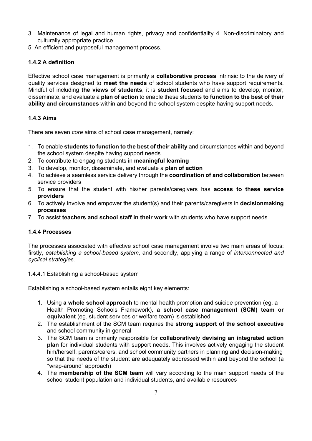- 3. Maintenance of legal and human rights, privacy and confidentiality 4. Non-discriminatory and culturally appropriate practice
- 5. An efficient and purposeful management process.

## **1.4.2 A definition**

Effective school case management is primarily a **collaborative process** intrinsic to the delivery of quality services designed to **meet the needs** of school students who have support requirements. Mindful of including **the views of students**, it is **student focused** and aims to develop, monitor, disseminate, and evaluate a **plan of action** to enable these students **to function to the best of their ability and circumstances** within and beyond the school system despite having support needs.

## **1.4.3 Aims**

There are seven *core* aims of school case management, namely:

- 1. To enable **students to function to the best of their ability** and circumstances within and beyond the school system despite having support needs
- 2. To contribute to engaging students in **meaningful learning**
- 3. To develop, monitor, disseminate, and evaluate a **plan of action**
- 4. To achieve a seamless service delivery through the **coordination of and collaboration** between service providers
- 5. To ensure that the student with his/her parents/caregivers has **access to these service providers**
- 6. To actively involve and empower the student(s) and their parents/caregivers in **decisionmaking processes**
- 7. To assist **teachers and school staff in their work** with students who have support needs.

## **1.4.4 Processes**

The processes associated with effective school case management involve two main areas of focus: firstly, *establishing a school-based system*, and secondly, applying a range of *interconnected and cyclical strategies*.

#### 1.4.4.1 Establishing a school-based system

Establishing a school-based system entails eight key elements:

- 1. Using **a whole school approach** to mental health promotion and suicide prevention (eg. a Health Promoting Schools Framework), **a school case management (SCM) team or equivalent** (eg. student services or welfare team) is established
- 2. The establishment of the SCM team requires the **strong support of the school executive**  and school community in general
- 3. The SCM team is primarily responsible for **collaboratively devising an integrated action plan** for individual students with support needs. This involves actively engaging the student him/herself, parents/carers, and school community partners in planning and decision-making so that the needs of the student are adequately addressed within and beyond the school (a "wrap-around" approach)
- 4. The **membership of the SCM team** will vary according to the main support needs of the school student population and individual students, and available resources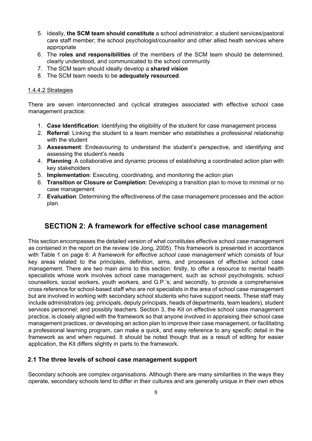- 5. Ideally, **the SCM team should constitute** a school administrator; a student services/pastoral care staff member; the school psychologist/counsellor and other allied heath services where appropriate
- 6. The **roles and responsibilities** of the members of the SCM team should be determined, clearly understood, and communicated to the school community
- 7. The SCM team should ideally develop a **shared vision**
- 8. The SCM team needs to be **adequately resourced**.

#### 1.4.4.2 Strategies

There are seven interconnected and cyclical strategies associated with effective school case management practice:

- 1. **Case Identification**: Identifying the eligibility of the student for case management process
- 2. **Referral**: Linking the student to a team member who establishes a professional relationship with the student
- 3. **Assessment**: Endeavouring to understand the student's perspective, and identifying and assessing the student's needs
- 4. **Planning**: A collaborative and dynamic process of establishing a coordinated action plan with key stakeholders
- 5. **Implementation**: Executing, coordinating, and monitoring the action plan
- 6. **Transition or Closure or Completion**: Developing a transition plan to move to minimal or no case management
- 7. **Evaluation**: Determining the effectiveness of the case management processes and the action plan.

# **SECTION 2: A framework for effective school case management**

This section encompasses the detailed version of what constitutes effective school case management as contained in the report on the review (de Jong, 2005). This framework is presented in accordance with Table 1 on page 6: *A framework for effective school case management* which consists of four key areas related to the principles, definition, aims, and processes of effective school case management. There are two main aims to this section: firstly, to offer a resource to mental health specialists whose work involves school case management, such as school psychologists, school counsellors, social workers, youth workers, and G.P.'s; and secondly, to provide a comprehensive cross reference for school-based staff who are not specialists in the area of school case management but are involved in working with secondary school students who have support needs. These staff may include administrators (eg. principals, deputy principals, heads of departments, team leaders), student services personnel; and possibly teachers. Section 3, the Kit on effective school case management practice, is closely aligned with the framework so that anyone involved in appraising their school case management practices, or developing an action plan to improve their case management, or facilitating a professional learning program, can make a quick, and easy reference to any specific detail in the framework as and when required. It should be noted though that as a result of editing for easier application, the Kit differs slightly in parts to the framework.

#### **2.1 The three levels of school case management support**

Secondary schools are complex organisations. Although there are many similarities in the ways they operate, secondary schools tend to differ in their cultures and are generally unique in their own ethos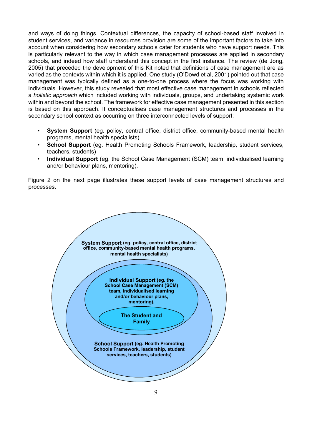and ways of doing things. Contextual differences, the capacity of school-based staff involved in student services, and variance in resources provision are some of the important factors to take into account when considering how secondary schools cater for students who have support needs. This is particularly relevant to the way in which case management processes are applied in secondary schools, and indeed how staff understand this concept in the first instance. The review (de Jong, 2005) that preceded the development of this Kit noted that definitions of case management are as varied as the contexts within which it is applied. One study (O'Dowd et al, 2001) pointed out that case management was typically defined as a one-to-one process where the focus was working with individuals. However, this study revealed that most effective case management in schools reflected a *holistic approach* which included working with individuals, groups, and undertaking systemic work within and beyond the school. The framework for effective case management presented in this section is based on this approach. It conceptualises case management structures and processes in the secondary school context as occurring on three interconnected levels of support:

- **System Support** (eg. policy, central office, district office, community-based mental health programs, mental health specialists)
- **School Support** (eg. Health Promoting Schools Framework, leadership, student services, teachers, students)
- **Individual Support** (eg. the School Case Management (SCM) team, individualised learning and/or behaviour plans, mentoring).

Figure 2 on the next page illustrates these support levels of case management structures and processes.

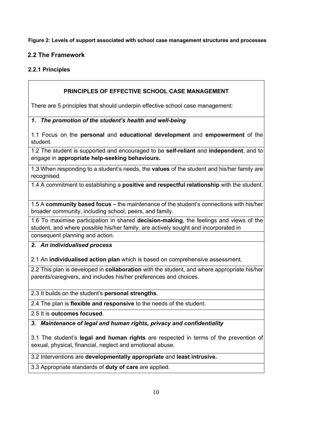**Figure 2: Levels of support associated with school case management structures and processes** 

## **2.2 The Framework**

## **2.2.1 Principles**

## **PRINCIPLES OF EFFECTIVE SCHOOL CASE MANAGEMENT**

There are 5 principles that should underpin effective school case management:

#### *1. The promotion of the student's health and well-being*

1.1 Focus on the **personal** and **educational development** and **empowerment** of the student.

1.2 The student is supported and encouraged to be **self-reliant** and **independent**, and to engage in **appropriate help-seeking behaviours.**

1.3 When responding to a student's needs, the **values** of the student and his/her family are recognised.

1.4 A commitment to establishing a **positive and respectful relationship** with the student.

1.5 A **community based focus** – the maintenance of the student's connections with his/her broader community, including school, peers, and family.

1.6 To maximise participation in shared **decision-making**, the feelings and views of the student, and where possible his/her family, are actively sought and incorporated in consequent planning and action.

#### *2. An individualised process*

2.1 An **individualised action plan** which is based on comprehensive assessment.

2.2 This plan is developed in **collaboration** with the student, and where appropriate his/her parents/caregivers, and includes his/her preferences and choices.

2.3 It builds on the student's **personal strengths**.

2.4 The plan is **flexible and responsive** to the needs of the student.

2.5 It is **outcomes focused**.

*3. Maintenance of legal and human rights, privacy and confidentiality*

3.1 The student's **legal and human rights** are respected in terms of the prevention of sexual, physical, financial, neglect and emotional abuse.

3.2 Interventions are **developmentally appropriate** and **least intrusive.**

3.3 Appropriate standards of **duty of care** are applied.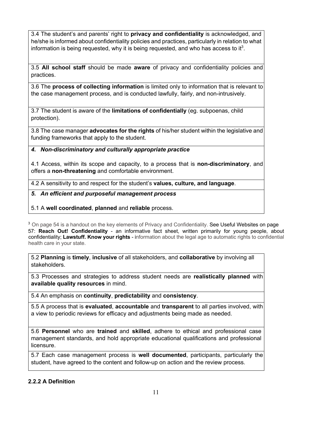3.4 The student's and parents' right to **privacy and confidentiality** is acknowledged, and he/she is informed about confidentiality policies and practices, particularly in relation to what information is being requested, why it is being requested, and who has access to it<sup>3</sup>.

3.5 **All school staff** should be made **aware** of privacy and confidentiality policies and practices.

3.6 The **process of collecting information** is limited only to information that is relevant to the case management process, and is conducted lawfully, fairly, and non-intrusively.

3.7 The student is aware of the **limitations of confidentially** (eg. subpoenas, child protection).

3.8 The case manager **advocates for the rights** of his/her student within the legislative and funding frameworks that apply to the student.

#### *4. Non-discriminatory and culturally appropriate practice*

4.1 Access, within its scope and capacity, to a process that is **non-discriminatory**, and offers a **non-threatening** and comfortable environment.

4.2 A sensitivity to and respect for the student's **values, culture, and language**.

#### *5. An efficient and purposeful management process*

#### 5.1 A **well coordinated**, **planned** and **reliable** process.

<sup>3</sup> On page 54 is a handout on the key elements of Privacy and Confidentiality. See Useful Websites on page 57: **Reach Out! Confidentiality** - an informative fact sheet, written primarily for young people, about confidentiality; **Lawstuff. Know your rights** - information about the legal age to automatic rights to confidential health care in your state.

5.2 **Planning** is **timely**, **inclusive** of all stakeholders, and **collaborative** by involving all stakeholders.

5.3 Processes and strategies to address student needs are **realistically planned** with **available quality resources** in mind.

5.4 An emphasis on **continuity**, **predictability** and **consistency**.

5.5 A process that is **evaluated**, **accountable** and **transparent** to all parties involved, with a view to periodic reviews for efficacy and adjustments being made as needed.

5.6 **Personnel** who are **trained** and **skilled**, adhere to ethical and professional case management standards, and hold appropriate educational qualifications and professional licensure.

5.7 Each case management process is **well documented**, participants, particularly the student, have agreed to the content and follow-up on action and the review process.

#### **2.2.2 A Definition**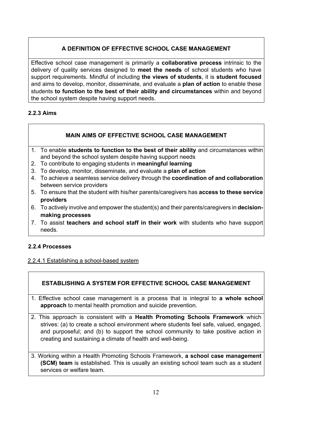## **A DEFINITION OF EFFECTIVE SCHOOL CASE MANAGEMENT**

Effective school case management is primarily a **collaborative process** intrinsic to the delivery of quality services designed to **meet the needs** of school students who have support requirements. Mindful of including **the views of students**, it is **student focused**  and aims to develop, monitor, disseminate, and evaluate a **plan of action** to enable these students **to function to the best of their ability and circumstances** within and beyond the school system despite having support needs.

## **2.2.3 Aims**

## **MAIN AIMS OF EFFECTIVE SCHOOL CASE MANAGEMENT**

- 1. To enable **students to function to the best of their ability** and circumstances within and beyond the school system despite having support needs
- 2. To contribute to engaging students in **meaningful learning**
- 3. To develop, monitor, disseminate, and evaluate a **plan of action**
- 4. To achieve a seamless service delivery through the **coordination of and collaboration** between service providers
- 5. To ensure that the student with his/her parents/caregivers has **access to these service providers**
- 6. To actively involve and empower the student(s) and their parents/caregivers in **decisionmaking processes**
- 7. To assist **teachers and school staff in their work** with students who have support needs.

## **2.2.4 Processes**

#### 2.2.4.1 Establishing a school-based system

## **ESTABLISHING A SYSTEM FOR EFFECTIVE SCHOOL CASE MANAGEMENT**

- 1. Effective school case management is a process that is integral to **a whole school approach** to mental health promotion and suicide prevention.
- 2. This approach is consistent with a **Health Promoting Schools Framework** which strives: (a) to create a school environment where students feel safe, valued, engaged, and purposeful; and (b) to support the school community to take positive action in creating and sustaining a climate of health and well-being.
- 3. Working within a Health Promoting Schools Framework, **a school case management (SCM) team** is established. This is usually an existing school team such as a student services or welfare team.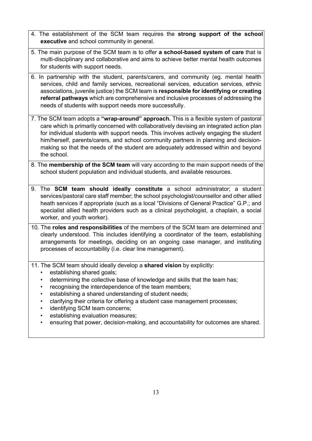- 4. The establishment of the SCM team requires the **strong support of the school executive** and school community in general.
- 5. The main purpose of the SCM team is to offer **a school-based system of care** that is multi-disciplinary and collaborative and aims to achieve better mental health outcomes for students with support needs.
- 6. In partnership with the student, parents/carers, and community (eg. mental health services, child and family services, recreational services, education services, ethnic associations, juvenile justice) the SCM team is **responsible for identifying or creating referral pathways** which are comprehensive and inclusive processes of addressing the needs of students with support needs more successfully.
- 7. The SCM team adopts a **"wrap-around" approach.** This is a flexible system of pastoral care which is primarily concerned with collaboratively devising an integrated action plan for individual students with support needs. This involves actively engaging the student him/herself, parents/carers, and school community partners in planning and decisionmaking so that the needs of the student are adequately addressed within and beyond the school.
- 8. The **membership of the SCM team** will vary according to the main support needs of the school student population and individual students, and available resources.
- 9. The **SCM team should ideally constitute** a school administrator; a student services/pastoral care staff member; the school psychologist/counsellor and other allied heath services if appropriate (such as a local "Divisions of General Practice" G.P.; and specialist allied health providers such as a clinical psychologist, a chaplain, a social worker, and youth worker).
- 10. The **roles and responsibilities** of the members of the SCM team are determined and clearly understood. This includes identifying a coordinator of the team, establishing arrangements for meetings, deciding on an ongoing case manager, and instituting processes of accountability (i.e. clear line management).
- 11. The SCM team should ideally develop a **shared vision** by explicitly:
	- establishing shared goals;
	- determining the collective base of knowledge and skills that the team has;
	- recognising the interdependence of the team members;
	- establishing a shared understanding of student needs;
	- clarifying their criteria for offering a student case management processes;
	- identifying SCM team concerns:
	- establishing evaluation measures;
	- ensuring that power, decision-making, and accountability for outcomes are shared.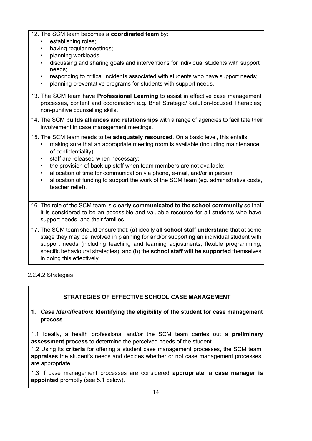## 12. The SCM team becomes a **coordinated team** by:

- establishing roles;
- having regular meetings;
- planning workloads;
- discussing and sharing goals and interventions for individual students with support needs;
- responding to critical incidents associated with students who have support needs;
- planning preventative programs for students with support needs.
- 13. The SCM team have **Professional Learning** to assist in effective case management processes, content and coordination e.g. Brief Strategic/ Solution-focused Therapies; non-punitive counselling skills.
- 14. The SCM **builds alliances and relationships** with a range of agencies to facilitate their involvement in case management meetings.

## 15. The SCM team needs to be **adequately resourced**. On a basic level, this entails:

- making sure that an appropriate meeting room is available (including maintenance of confidentiality);
- staff are released when necessary:
- the provision of back-up staff when team members are not available;
- allocation of time for communication via phone, e-mail, and/or in person;
- allocation of funding to support the work of the SCM team (eg. administrative costs, teacher relief).
- 16. The role of the SCM team is **clearly communicated to the school community** so that it is considered to be an accessible and valuable resource for all students who have support needs, and their families.
- 17. The SCM team should ensure that: (a) ideally **all school staff understand** that at some stage they may be involved in planning for and/or supporting an individual student with support needs (including teaching and learning adjustments, flexible programming, specific behavioural strategies); and (b) the **school staff will be supported** themselves in doing this effectively.

## 2.2.4.2 Strategies

# **STRATEGIES OF EFFECTIVE SCHOOL CASE MANAGEMENT**

## **1.** *Case Identification***: Identifying the eligibility of the student for case management process**

1.1 Ideally, a health professional and/or the SCM team carries out a **preliminary assessment process** to determine the perceived needs of the student.

1.2 Using its **criteria** for offering a student case management processes, the SCM team **appraises** the student's needs and decides whether or not case management processes are appropriate.

1.3 If case management processes are considered **appropriate**, a **case manager is appointed** promptly (see 5.1 below).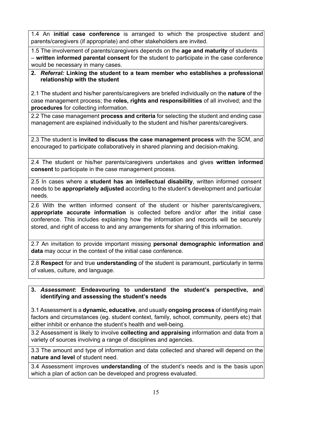1.4 An **initial case conference** is arranged to which the prospective student and parents/caregivers (if appropriate) and other stakeholders are invited.

1.5 The involvement of parents/caregivers depends on the **age and maturity** of students – **written informed parental consent** for the student to participate in the case conference would be necessary in many cases.

**2.** *Referral:* **Linking the student to a team member who establishes a professional relationship with the student** 

2.1 The student and his/her parents/caregivers are briefed individually on the **nature** of the case management process; the **roles, rights and responsibilities** of all involved; and the **procedures** for collecting information.

2.2 The case management **process and criteria** for selecting the student and ending case management are explained individually to the student and his/her parents/caregivers.

2.3 The student is **invited to discuss the case management process** with the SCM, and encouraged to participate collaboratively in shared planning and decision-making.

2.4 The student or his/her parents/caregivers undertakes and gives **written informed consent** to participate in the case management process.

2.5 In cases where a **student has an intellectual disability**, written informed consent needs to be **appropriately adjusted** according to the student's development and particular needs.

2.6 With the written informed consent of the student or his/her parents/caregivers, **appropriate accurate information** is collected before and/or after the initial case conference. This includes explaining how the information and records will be securely stored, and right of access to and any arrangements for sharing of this information.

2.7 An invitation to provide important missing **personal demographic information and data** may occur in the context of the initial case conference.

2.8 **Respect** for and true **understanding** of the student is paramount, particularly in terms of values, culture, and language.

## **3.** *Assessment***: Endeavouring to understand the student's perspective, and identifying and assessing the student's needs**

3.1 Assessment is a **dynamic, educative**, and usually **ongoing process** of identifying main factors and circumstances (eg. student context, family, school, community, peers etc) that either inhibit or enhance the student's health and well-being.

3.2 Assessment is likely to involve **collecting and appraising** information and data from a variety of sources involving a range of disciplines and agencies.

3.3 The amount and type of information and data collected and shared will depend on the **nature and level** of student need.

3.4 Assessment improves **understanding** of the student's needs and is the basis upon which a plan of action can be developed and progress evaluated.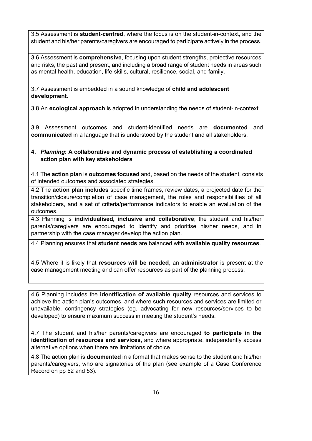3.5 Assessment is **student-centred**, where the focus is on the student-in-context, and the student and his/her parents/caregivers are encouraged to participate actively in the process.

3.6 Assessment is **comprehensive**, focusing upon student strengths, protective resources and risks, the past and present, and including a broad range of student needs in areas such as mental health, education, life-skills, cultural, resilience, social, and family.

3.7 Assessment is embedded in a sound knowledge of **child and adolescent development.**

3.8 An **ecological approach** is adopted in understanding the needs of student-in-context.

3.9 Assessment outcomes and student-identified needs are **documented** and **communicated** in a language that is understood by the student and all stakeholders.

#### **4.** *Planning***: A collaborative and dynamic process of establishing a coordinated action plan with key stakeholders**

4.1 The **action plan** is **outcomes focused** and, based on the needs of the student, consists of intended outcomes and associated strategies.

4.2 The **action plan includes** specific time frames, review dates, a projected date for the transition/closure/completion of case management, the roles and responsibilities of all stakeholders, and a set of criteria/performance indicators to enable an evaluation of the outcomes.

4.3 Planning is **individualised, inclusive and collaborative**; the student and his/her parents/caregivers are encouraged to identify and prioritise his/her needs, and in partnership with the case manager develop the action plan.

4.4 Planning ensures that **student needs** are balanced with **available quality resources**.

4.5 Where it is likely that **resources will be needed**, an **administrator** is present at the case management meeting and can offer resources as part of the planning process.

4.6 Planning includes the **identification of available quality** resources and services to achieve the action plan's outcomes, and where such resources and services are limited or unavailable, contingency strategies (eg. advocating for new resources/services to be developed) to ensure maximum success in meeting the student's needs.

4.7 The student and his/her parents/caregivers are encouraged **to participate in the identification of resources and services**, and where appropriate, independently access alternative options when there are limitations of choice.

4.8 The action plan is **documented** in a format that makes sense to the student and his/her parents/caregivers, who are signatories of the plan (see example of a Case Conference Record on pp 52 and 53).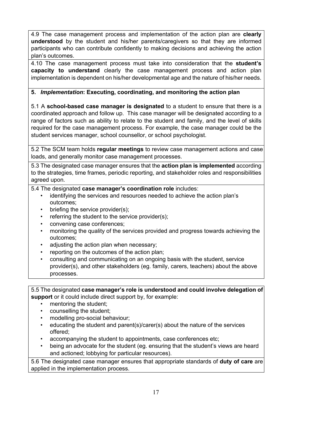4.9 The case management process and implementation of the action plan are **clearly understood** by the student and his/her parents/caregivers so that they are informed participants who can contribute confidently to making decisions and achieving the action plan's outcomes.

4.10 The case management process must take into consideration that the **student's capacity to understand** clearly the case management process and action plan implementation is dependent on his/her developmental age and the nature of his/her needs.

## **5.** *Implementation***: Executing, coordinating, and monitoring the action plan**

5.1 A **school-based case manager is designated** to a student to ensure that there is a coordinated approach and follow up. This case manager will be designated according to a range of factors such as ability to relate to the student and family, and the level of skills required for the case management process. For example, the case manager could be the student services manager, school counsellor, or school psychologist.

5.2 The SCM team holds **regular meetings** to review case management actions and case loads, and generally monitor case management processes.

5.3 The designated case manager ensures that the **action plan is implemented** according to the strategies, time frames, periodic reporting, and stakeholder roles and responsibilities agreed upon.

5.4 The designated **case manager's coordination role** includes:

- identifying the services and resources needed to achieve the action plan's outcomes;
- briefing the service provider(s);
- referring the student to the service provider(s);
- convening case conferences;
- monitoring the quality of the services provided and progress towards achieving the outcomes;
- adjusting the action plan when necessary;
- reporting on the outcomes of the action plan;
- consulting and communicating on an ongoing basis with the student, service provider(s), and other stakeholders (eg. family, carers, teachers) about the above processes.

5.5 The designated **case manager's role is understood and could involve delegation of support** or it could include direct support by, for example:

- mentoring the student;
- counselling the student;
- modelling pro-social behaviour;
- educating the student and parent(s)/carer(s) about the nature of the services offered;
- accompanying the student to appointments, case conferences etc;
- being an advocate for the student (eg. ensuring that the student's views are heard and actioned; lobbying for particular resources).

5.6 The designated case manager ensures that appropriate standards of **duty of care** are applied in the implementation process.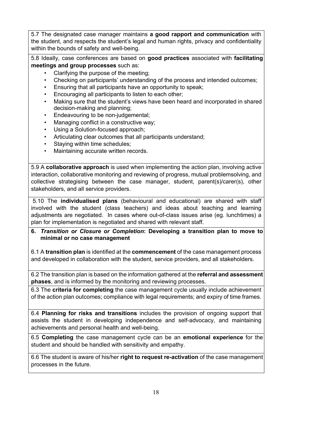5.7 The designated case manager maintains **a good rapport and communication** with the student, and respects the student's legal and human rights, privacy and confidentiality within the bounds of safety and well-being.

5.8 Ideally, case conferences are based on **good practices** associated with **facilitating meetings and group processes** such as:

- Clarifying the purpose of the meeting;
- Checking on participants' understanding of the process and intended outcomes;
- Ensuring that all participants have an opportunity to speak;
- Encouraging all participants to listen to each other;
- Making sure that the student's views have been heard and incorporated in shared decision-making and planning;
- Endeavouring to be non-judgemental;
- Managing conflict in a constructive way;
- Using a Solution-focused approach;
- Articulating clear outcomes that all participants understand;
- Staving within time schedules:
- Maintaining accurate written records.

5.9 A **collaborative approach** is used when implementing the action plan, involving active interaction, collaborative monitoring and reviewing of progress, mutual problemsolving, and collective strategising between the case manager, student, parent(s)/carer(s), other stakeholders, and all service providers.

5.10 The **individualised plans** (behavioural and educational) are shared with staff involved with the student (class teachers) and ideas about teaching and learning adjustments are negotiated. In cases where out-of-class issues arise (eg. lunchtimes) a plan for implementation is negotiated and shared with relevant staff.

#### **6.** *Transition or Closure or Completion***: Developing a transition plan to move to minimal or no case management**

6.1 A **transition plan** is identified at the **commencement** of the case management process and developed in collaboration with the student, service providers, and all stakeholders.

6.2 The transition plan is based on the information gathered at the **referral and assessment phases**, and is informed by the monitoring and reviewing processes.

6.3 The **criteria for completing** the case management cycle usually include achievement of the action plan outcomes; compliance with legal requirements; and expiry of time frames.

6.4 **Planning for risks and transitions** includes the provision of ongoing support that assists the student in developing independence and self-advocacy, and maintaining achievements and personal health and well-being.

6.5 **Completing** the case management cycle can be an **emotional experience** for the student and should be handled with sensitivity and empathy.

6.6 The student is aware of his/her **right to request re-activation** of the case management processes in the future.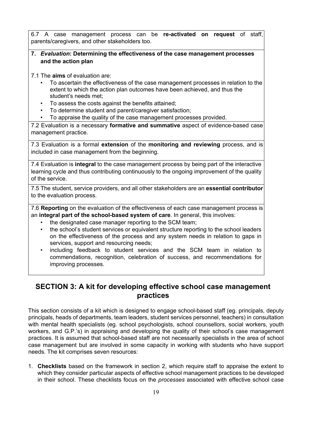6.7 A case management process can be **re-activated on request** of staff, parents/caregivers, and other stakeholders too.

#### **7.** *Evaluation***: Determining the effectiveness of the case management processes and the action plan**

7.1 The **aims** of evaluation are:

- To ascertain the effectiveness of the case management processes in relation to the extent to which the action plan outcomes have been achieved, and thus the student's needs met;
- To assess the costs against the benefits attained;
- To determine student and parent/caregiver satisfaction;
- To appraise the quality of the case management processes provided.

7.2 Evaluation is a necessary **formative and summative** aspect of evidence-based case management practice.

7.3 Evaluation is a formal **extension** of the **monitoring and reviewing** process, and is included in case management from the beginning.

7.4 Evaluation is **integral** to the case management process by being part of the interactive learning cycle and thus contributing continuously to the ongoing improvement of the quality of the service.

7.5 The student, service providers, and all other stakeholders are an **essential contributor** to the evaluation process.

7.6 **Reporting** on the evaluation of the effectiveness of each case management process is an **integral part of the school-based system of care**. In general, this involves:

- the designated case manager reporting to the SCM team;
- the school's student services or equivalent structure reporting to the school leaders on the effectiveness of the process and any system needs in relation to gaps in services, support and resourcing needs;
- including feedback to student services and the SCM team in relation to commendations, recognition, celebration of success, and recommendations for improving processes.

# **SECTION 3: A kit for developing effective school case management practices**

This section consists of a kit which is designed to engage school-based staff (eg. principals, deputy principals, heads of departments, team leaders, student services personnel, teachers) in consultation with mental health specialists (eg. school psychologists, school counsellors, social workers, youth workers, and G.P.'s) in appraising and developing the quality of their school's case management practices. It is assumed that school-based staff are not necessarily specialists in the area of school case management but are involved in some capacity in working with students who have support needs. The kit comprises seven resources:

1. **Checklists** based on the framework in section 2, which require staff to appraise the extent to which they consider particular aspects of effective school management practices to be developed in their school. These checklists focus on the *processes* associated with effective school case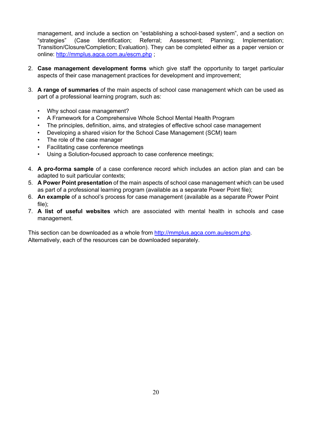management, and include a section on "establishing a school-based system", and a section on "strategies" (Case Identification; Referral; Assessment; Planning; Implementation; Transition/Closure/Completion; Evaluation). They can be completed either as a paper version or online: http://mmplus.agca.com.au/escm.php ;

- 2. **Case management development forms** which give staff the opportunity to target particular aspects of their case management practices for development and improvement;
- 3. **A range of summaries** of the main aspects of school case management which can be used as part of a professional learning program, such as:
	- Why school case management?
	- A Framework for a Comprehensive Whole School Mental Health Program
	- The principles, definition, aims, and strategies of effective school case management
	- Developing a shared vision for the School Case Management (SCM) team
	- The role of the case manager
	- Facilitating case conference meetings
	- Using a Solution-focused approach to case conference meetings;
- 4. **A pro-forma sample** of a case conference record which includes an action plan and can be adapted to suit particular contexts;
- 5. **A Power Point presentation** of the main aspects of school case management which can be used as part of a professional learning program (available as a separate Power Point file);
- 6. **An example** of a school's process for case management (available as a separate Power Point file);
- 7. **A list of useful websites** which are associated with mental health in schools and case management.

This section can be downloaded as a whole from http://mmplus.agca.com.au/escm.php. Alternatively, each of the resources can be downloaded separately.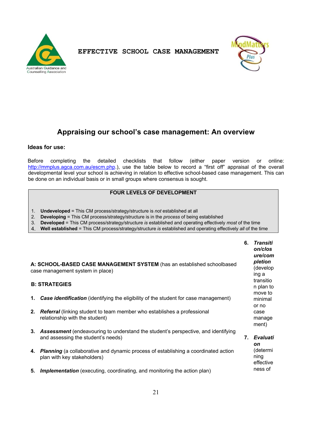



# **Appraising our school's case management: An overview**

#### **Ideas for use:**

Before completing the detailed checklists that follow (either paper version or online: http://mmplus.agca.com.au/escm.php.), use the table below to record a "first off" appraisal of the overall developmental level your school is achieving in relation to effective school-based case management. This can be done on an individual basis or in small groups where consensus is sought.

## **FOUR LEVELS OF DEVELOPMENT**

- 1. **Undeveloped** = This CM process/strategy/structure is *not* established at all
- 2. **Developing** = This CM process/strategy/structure is in the *process* of being established
- 3. **Developed** = This CM process/strategy/structure *is* established and operating effectively *most* of the time
- 4. **Well established** = This CM process/strategy/structure *is* established and operating effectively *all* of the time

|                                                                                                            |                                                                                                                            |    | 6. Transiti<br>on/clos<br>ure/com<br>pletion |  |  |  |
|------------------------------------------------------------------------------------------------------------|----------------------------------------------------------------------------------------------------------------------------|----|----------------------------------------------|--|--|--|
| A: SCHOOL-BASED CASE MANAGEMENT SYSTEM (has an established schoolbased<br>case management system in place) |                                                                                                                            |    |                                              |  |  |  |
|                                                                                                            | <b>B: STRATEGIES</b>                                                                                                       |    | transitio<br>n plan to<br>move to            |  |  |  |
| 1.                                                                                                         | <b>Case identification</b> (identifying the eligibility of the student for case management)                                |    | minimal<br>or no                             |  |  |  |
| 2.                                                                                                         | <b>Referral</b> (linking student to team member who establishes a professional<br>relationship with the student)           |    | case<br>manage<br>ment)                      |  |  |  |
|                                                                                                            | 3. Assessment (endeavouring to understand the student's perspective, and identifying<br>and assessing the student's needs) | 7. | Evaluati<br><b>on</b>                        |  |  |  |
|                                                                                                            | 4. Planning (a collaborative and dynamic process of establishing a coordinated action<br>plan with key stakeholders)       |    | (determi<br>ning<br>effective                |  |  |  |
| 5.                                                                                                         | <b>Implementation</b> (executing, coordinating, and monitoring the action plan)                                            |    | ness of                                      |  |  |  |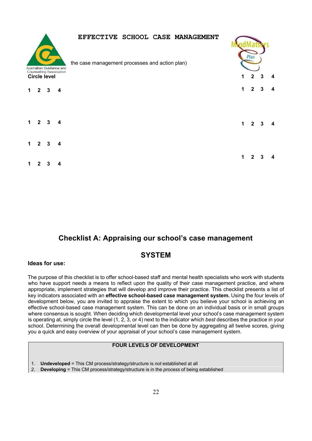|   |                |                     | Australian Guidance and        | EFFECTIVE SCHOOL CASE MANAGEMENT<br>the case management processes and action plan) |             |              |                |   |
|---|----------------|---------------------|--------------------------------|------------------------------------------------------------------------------------|-------------|--------------|----------------|---|
|   |                | <b>Circle level</b> | <b>Counselling Association</b> |                                                                                    |             | $2^{\circ}$  | 3              | 4 |
|   | $\mathbf{2}$   | 3                   | $\boldsymbol{4}$               |                                                                                    | 1           | $\mathbf{2}$ | 3              |   |
|   | 2              | 3                   | 4                              |                                                                                    | $\mathbf 1$ |              | 2 <sup>3</sup> | 4 |
| 1 | $\overline{2}$ | 3                   | $\overline{\mathbf{4}}$        |                                                                                    |             |              |                |   |
|   |                |                     |                                |                                                                                    |             | 2            | з              |   |

# **Checklist A: Appraising our school's case management**

## **SYSTEM**

#### **Ideas for use:**

The purpose of this checklist is to offer school-based staff and mental health specialists who work with students who have support needs a means to reflect upon the quality of their case management practice, and where appropriate, implement strategies that will develop and improve their practice. This checklist presents a list of key indicators associated with an **effective school-based case management system.** Using the four levels of development below, you are invited to appraise the extent to which you believe your school is achieving an effective school-based case management system. This can be done on an individual basis or in small groups where consensus is sought. When deciding which developmental level your school's case management system is operating at, simply circle the level (1, 2, 3, or 4) next to the indicator which *best* describes the practice in your school. Determining the overall developmental level can then be done by aggregating all twelve scores, giving you a quick and easy overview of your appraisal of your school's case management system.

#### **FOUR LEVELS OF DEVELOPMENT**

- 1. **Undeveloped** = This CM process/strategy/structure is *not* established at all
- 2. **Developing** = This CM process/strategy/structure is in the *process* of being established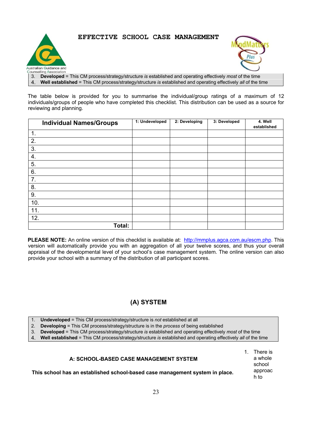



3. **Developed** = This CM process/strategy/structure *is* established and operating effectively *most* of the time

4. **Well established** = This CM process/strategy/structure *is* established and operating effectively *all* of the time

The table below is provided for you to summarise the individual/group ratings of a maximum of 12 individuals/groups of people who have completed this checklist. This distribution can be used as a source for reviewing and planning.

| <b>Individual Names/Groups</b> | 1: Undeveloped | 2: Developing | 3: Developed | 4. Well<br>established |
|--------------------------------|----------------|---------------|--------------|------------------------|
| 1.                             |                |               |              |                        |
| 2.                             |                |               |              |                        |
| 3.                             |                |               |              |                        |
| 4.                             |                |               |              |                        |
| 5.                             |                |               |              |                        |
| 6.                             |                |               |              |                        |
| 7.                             |                |               |              |                        |
| 8.                             |                |               |              |                        |
| 9.                             |                |               |              |                        |
| 10.                            |                |               |              |                        |
| 11.                            |                |               |              |                        |
| 12.                            |                |               |              |                        |
| Total:                         |                |               |              |                        |

**PLEASE NOTE:** An online version of this checklist is available at: http://mmplus.agca.com.au/escm.php. This version will automatically provide you with an aggregation of all your twelve scores, and thus your overall appraisal of the developmental level of your school's case management system. The online version can also provide your school with a summary of the distribution of all participant scores.

# **(A) SYSTEM**

- 1. **Undeveloped** = This CM process/strategy/structure is *not* established at all
- 2. **Developing** = This CM process/strategy/structure is in the *process* of being established
- 3. **Developed** = This CM process/strategy/structure *is* established and operating effectively *most* of the time
- 4. **Well established** = This CM process/strategy/structure *is* established and operating effectively *all* of the time

#### **A: SCHOOL-BASED CASE MANAGEMENT SYSTEM**

**This school has an established school-based case management system in place.** 

1. There is a whole school approac h to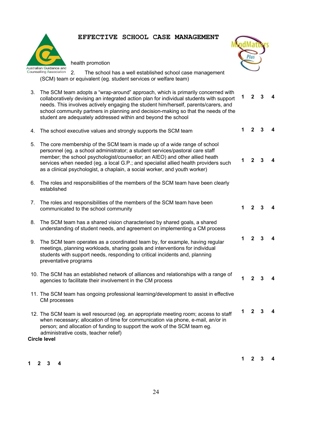

health promotion



 $1 \quad 2 \quad 3$ 

**1 2 3 4** 

**1 2 3 4** 

2. The school has a well established school case management (SCM) team or equivalent (eg. student services or welfare team)

- 3. The SCM team adopts a "wrap-around" approach, which is primarily concerned with collaboratively devising an integrated action plan for individual students with support needs. This involves actively engaging the student him/herself, parents/carers, and school community partners in planning and decision-making so that the needs of the student are adequately addressed within and beyond the school **1 2 3 4**
- 4. The school executive values and strongly supports the SCM team
- 5. The core membership of the SCM team is made up of a wide range of school personnel (eg. a school administrator; a student services/pastoral care staff member; the school psychologist/counsellor; an AIEO) and other allied heath services when needed (eg. a local G.P.; and specialist allied health providers such as a clinical psychologist, a chaplain, a social worker, and youth worker)
- 6. The roles and responsibilities of the members of the SCM team have been clearly established
- 7. The roles and responsibilities of the members of the SCM team have been communicated to the school community
- 8. The SCM team has a shared vision characterised by shared goals, a shared understanding of student needs, and agreement on implementing a CM process
- 9. The SCM team operates as a coordinated team by, for example, having regular meetings, planning workloads, sharing goals and interventions for individual students with support needs, responding to critical incidents and, planning preventative programs **1 2 3 4**
- 10. The SCM has an established network of alliances and relationships with a range of agencies to facilitate their involvement in the CM process
- 11. The SCM team has ongoing professional learning/development to assist in effective CM processes
- 12. The SCM team is well resourced (eg. an appropriate meeting room; access to staff when necessary; allocation of time for communication via phone, e-mail, an/or in person; and allocation of funding to support the work of the SCM team eg. administrative costs, teacher relief) **1 2 3 4**

#### **Circle level**

**1 2 3 4** 

**1 2 3 4** 

**1 2 3 4**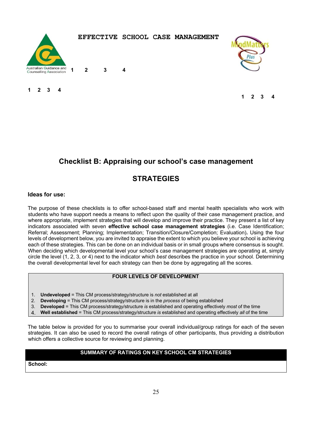

**1 2 3 4** 



**1 2 3 4** 

**1 2 3 4** 

# **Checklist B: Appraising our school's case management**

# **STRATEGIES**

#### **Ideas for use:**

The purpose of these checklists is to offer school-based staff and mental health specialists who work with students who have support needs a means to reflect upon the quality of their case management practice, and where appropriate, implement strategies that will develop and improve their practice. They present a list of key indicators associated with seven **effective school case management strategies** (i.e. Case Identification; Referral; Assessment; Planning; Implementation; Transition/Closure/Completion; Evaluation)**.** Using the four levels of development below, you are invited to appraise the extent to which you believe your school is achieving each of these strategies. This can be done on an individual basis or in small groups where consensus is sought. When deciding which developmental level your school's case management strategies are operating at, simply circle the level (1, 2, 3, or 4) next to the indicator which *best* describes the practice in your school. Determining the overall developmental level for each strategy can then be done by aggregating all the scores.

#### **FOUR LEVELS OF DEVELOPMENT**

- 1. **Undeveloped** = This CM process/strategy/structure is *not* established at all
- 2. **Developing** = This CM process/strategy/structure is in the *process* of being established
- 3. **Developed** = This CM process/strategy/structure *is* established and operating effectively *most* of the time
- 4. **Well established** = This CM process/strategy/structure *is* established and operating effectively *all* of the time

The table below is provided for you to summarise your overall individual/group ratings for each of the seven strategies. It can also be used to record the overall ratings of other participants, thus providing a distribution which offers a collective source for reviewing and planning.

## **SUMMARY OF RATINGS ON KEY SCHOOL CM STRATEGIES**

**School:**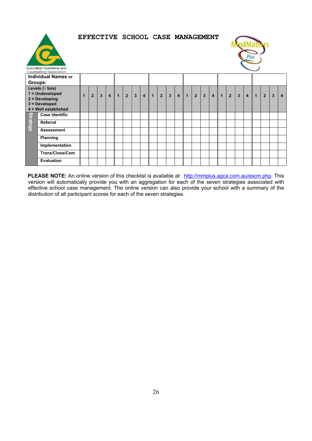



| Australian Guidance and<br><b>Counselling Association</b> |                                                                                                                                                                                                                                                                                                                                             |  |                |                |                |                |                |                |           |           |             |                |                |                |                |                |                         |               |                |                |                |                |                |                         |                         |
|-----------------------------------------------------------|---------------------------------------------------------------------------------------------------------------------------------------------------------------------------------------------------------------------------------------------------------------------------------------------------------------------------------------------|--|----------------|----------------|----------------|----------------|----------------|----------------|-----------|-----------|-------------|----------------|----------------|----------------|----------------|----------------|-------------------------|---------------|----------------|----------------|----------------|----------------|----------------|-------------------------|-------------------------|
| <b>Individual Names or</b>                                |                                                                                                                                                                                                                                                                                                                                             |  |                |                |                |                |                |                |           |           |             |                |                |                |                |                |                         |               |                |                |                |                |                |                         |                         |
| Groups:                                                   |                                                                                                                                                                                                                                                                                                                                             |  |                |                |                |                |                |                |           |           |             |                |                |                |                |                |                         |               |                |                |                |                |                |                         |                         |
|                                                           | Levels ( $\sqrt{}$ box)                                                                                                                                                                                                                                                                                                                     |  |                |                |                |                |                |                |           |           |             |                |                |                |                |                |                         |               |                |                |                |                |                |                         |                         |
|                                                           | 1 = Undeveloped                                                                                                                                                                                                                                                                                                                             |  | $\overline{2}$ | $\overline{3}$ | $\overline{4}$ | $\overline{1}$ | $\overline{2}$ | $\overline{3}$ | $\vert$ 4 | $\vert$ 1 | $2^{\circ}$ | $\overline{3}$ | $\overline{4}$ | $\overline{1}$ | 2 <sup>1</sup> | $\overline{3}$ | $\overline{\mathbf{4}}$ | $\parallel$ 1 | $\overline{2}$ | $\overline{3}$ | $\overline{4}$ | $\overline{1}$ | $\overline{2}$ | $\overline{\mathbf{3}}$ | $\overline{\mathbf{4}}$ |
|                                                           | $2 = Developing$                                                                                                                                                                                                                                                                                                                            |  |                |                |                |                |                |                |           |           |             |                |                |                |                |                |                         |               |                |                |                |                |                |                         |                         |
|                                                           | $3 = Development$<br>4 = Well established                                                                                                                                                                                                                                                                                                   |  |                |                |                |                |                |                |           |           |             |                |                |                |                |                |                         |               |                |                |                |                |                |                         |                         |
|                                                           | <b>Case Identific</b>                                                                                                                                                                                                                                                                                                                       |  |                |                |                |                |                |                |           |           |             |                |                |                |                |                |                         |               |                |                |                |                |                |                         |                         |
| <b>Strategy</b>                                           |                                                                                                                                                                                                                                                                                                                                             |  |                |                |                |                |                |                |           |           |             |                |                |                |                |                |                         |               |                |                |                |                |                |                         |                         |
|                                                           | Referral                                                                                                                                                                                                                                                                                                                                    |  |                |                |                |                |                |                |           |           |             |                |                |                |                |                |                         |               |                |                |                |                |                |                         |                         |
|                                                           | <b>Assessment</b>                                                                                                                                                                                                                                                                                                                           |  |                |                |                |                |                |                |           |           |             |                |                |                |                |                |                         |               |                |                |                |                |                |                         |                         |
|                                                           | <b>Planning</b>                                                                                                                                                                                                                                                                                                                             |  |                |                |                |                |                |                |           |           |             |                |                |                |                |                |                         |               |                |                |                |                |                |                         |                         |
|                                                           | Implementation                                                                                                                                                                                                                                                                                                                              |  |                |                |                |                |                |                |           |           |             |                |                |                |                |                |                         |               |                |                |                |                |                |                         |                         |
|                                                           | <b>Trans/Close/Com</b>                                                                                                                                                                                                                                                                                                                      |  |                |                |                |                |                |                |           |           |             |                |                |                |                |                |                         |               |                |                |                |                |                |                         |                         |
|                                                           | <b>Evaluation</b>                                                                                                                                                                                                                                                                                                                           |  |                |                |                |                |                |                |           |           |             |                |                |                |                |                |                         |               |                |                |                |                |                |                         |                         |
|                                                           | <b>PLEASE NOTE:</b> An online version of this checklist is available at: http://mmplus.agca.com.au/escm.php. This<br>version will automatically provide you with an aggregation for each of the seven strategies associated with<br>effective school case management. The online version can also provide your school with a summary of the |  |                |                |                |                |                |                |           |           |             |                |                |                |                |                |                         |               |                |                |                |                |                |                         |                         |
|                                                           | distribution of all participant scores for each of the seven strategies.                                                                                                                                                                                                                                                                    |  |                |                |                |                |                |                |           |           |             |                |                |                |                |                |                         |               |                |                |                |                |                |                         |                         |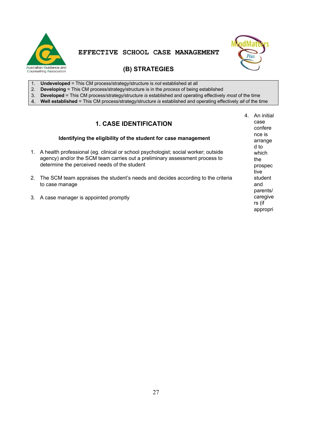



## **(B) STRATEGIES**

- 1. **Undeveloped** = This CM process/strategy/structure is *not* established at all
- 2. **Developing** = This CM process/strategy/structure is in the *process* of being established
- 3. **Developed** = This CM process/strategy/structure *is* established and operating effectively *most* of the time
- 4. **Well established** = This CM process/strategy/structure *is* established and operating effectively *all* of the time

## **1. CASE IDENTIFICATION**

#### **Identifying the eligibility of the student for case management**

- 1. A health professional (eg. clinical or school psychologist; social worker; outside agency) and/or the SCM team carries out a preliminary assessment process to determine the perceived needs of the student
- 2. The SCM team appraises the student's needs and decides according to the criteria to case manage
- 3. A case manager is appointed promptly

4. An initial case confere nce is arrange d to which the prospec tive student and parents/ caregive rs (if appropri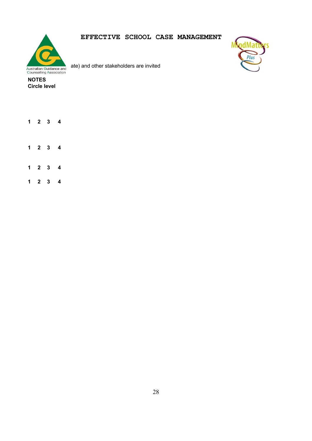

ate) and other stakeholders are invited



- **Circle level**
- **1 2 3 4**
- **1 2 3 4**
- **1 2 3 4**
- **1 2 3 4**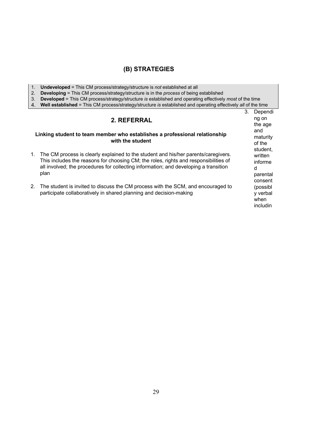#### **(B) STRATEGIES**

- 1. **Undeveloped** = This CM process/strategy/structure is *not* established at all
- 2. **Developing** = This CM process/strategy/structure is in the *process* of being established
- 3. **Developed** = This CM process/strategy/structure *is* established and operating effectively *most* of the time
- 4. **Well established** = This CM process/strategy/structure *is* established and operating effectively *all* of the time

#### **2. REFERRAL Linking student to team member who establishes a professional relationship with the student**  1. The CM process is clearly explained to the student and his/her parents/caregivers. This includes the reasons for choosing CM; the roles, rights and responsibilities of all involved; the procedures for collecting information; and developing a transition plan 2. The student is invited to discuss the CM process with the SCM, and encouraged to participate collaboratively in shared planning and decision-making 3. Dependi ng on the age and maturity of the student, written informe d parental consent (possibl y verbal when includin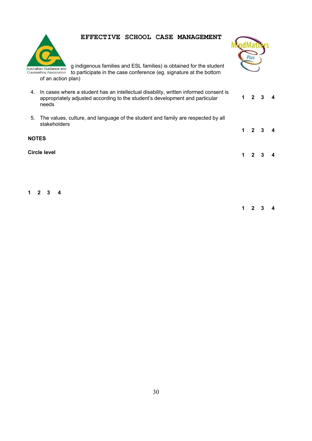

g indigenous families and ESL families) is obtained for the student to participate in the case conference (eg. signature at the bottom of an action plan)

4. In cases where a student has an intellectual disability, written informed consent is appropriately adjusted according to the student's development and particular needs 5. The values, culture, and language of the student and family are respected by all stakeholders **NOTES Circle level 1 2 3 4 1 2 3 4 1 2 3 4** 

**1 2 3 4** 

**1 2 3 4**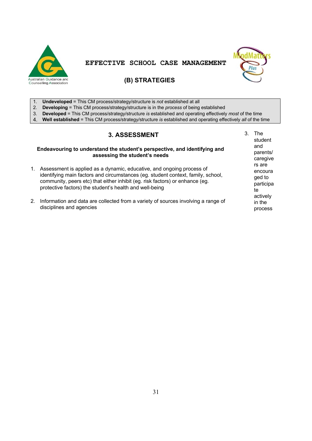



#### **(B) STRATEGIES**

- 1. **Undeveloped** = This CM process/strategy/structure is *not* established at all
- 2. **Developing** = This CM process/strategy/structure is in the *process* of being established
- 3. **Developed** = This CM process/strategy/structure *is* established and operating effectively *most* of the time
- 4. **Well established** = This CM process/strategy/structure *is* established and operating effectively *all* of the time

#### **3. ASSESSMENT**

#### **Endeavouring to understand the student's perspective, and identifying and assessing the student's needs**

- 1. Assessment is applied as a dynamic, educative, and ongoing process of identifying main factors and circumstances (eg. student context, family, school, community, peers etc) that either inhibit (eg. risk factors) or enhance (eg. protective factors) the student's health and well-being
- 2. Information and data are collected from a variety of sources involving a range of disciplines and agencies

3. The student and parents/ caregive rs are encoura ged to participa te actively in the process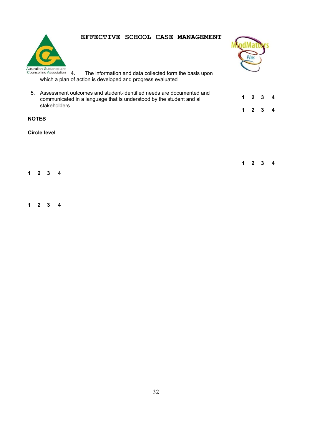



Australian Guidance and<br>
Counselling Association 4. The information and data collected form the basis upon which a plan of action is developed and progress evaluated

5. Assessment outcomes and student-identified needs are documented and communicated in a language that is understood by the student and all stakeholders

**NOTES** 

**Circle level** 

**1 2 3 4** 

**1 2 3 4** 

**1 2 3 4** 

**1 2 3 4** 

**1 2 3 4**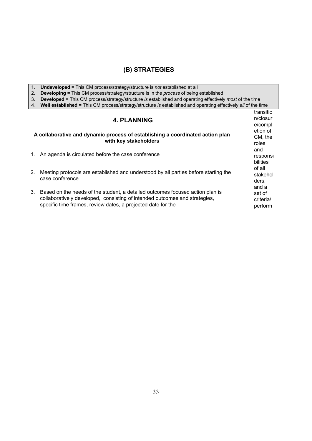#### **(B) STRATEGIES**

1. **Undeveloped** = This CM process/strategy/structure is *not* established at all

2. **Developing** = This CM process/strategy/structure is in the *process* of being established

3. **Developed** = This CM process/strategy/structure *is* established and operating effectively *most* of the time

4. **Well established** = This CM process/strategy/structure *is* established and operating effectively *all* of the time

|    | <b>4. PLANNING</b>                                                                                                                                                                                                          |                                      |  |  |
|----|-----------------------------------------------------------------------------------------------------------------------------------------------------------------------------------------------------------------------------|--------------------------------------|--|--|
|    | A collaborative and dynamic process of establishing a coordinated action plan<br>with key stakeholders                                                                                                                      |                                      |  |  |
|    | 1. An agenda is circulated before the case conference                                                                                                                                                                       | and<br>responsi<br>bilities          |  |  |
| 2. | Meeting protocols are established and understood by all parties before starting the<br>case conference                                                                                                                      | of all<br>stakehol<br>ders.<br>and a |  |  |
| 3. | Based on the needs of the student, a detailed outcomes focused action plan is<br>collaboratively developed, consisting of intended outcomes and strategies,<br>specific time frames, review dates, a projected date for the | set of<br>criteria/<br>perform       |  |  |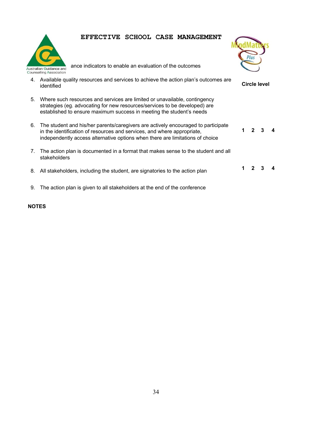

ance indicators to enable an evaluation of the outcomes



- 4. Available quality resources and services to achieve the action plan's outcomes are identified **Circle level**
- 5. Where such resources and services are limited or unavailable, contingency strategies (eg. advocating for new resources/services to be developed) are established to ensure maximum success in meeting the student's needs
- 6. The student and his/her parents/caregivers are actively encouraged to participate in the identification of resources and services, and where appropriate, independently access alternative options when there are limitations of choice **1 2 3 4**
- 7. The action plan is documented in a format that makes sense to the student and all stakeholders
- 8. All stakeholders, including the student, are signatories to the action plan **1 2 3 4**
- 9. The action plan is given to all stakeholders at the end of the conference

#### **NOTES**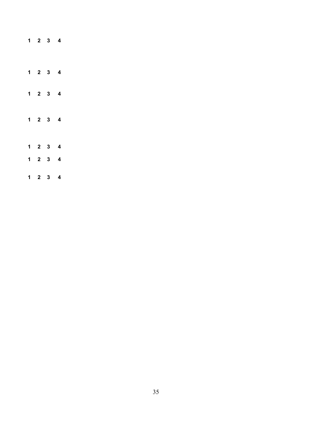|                     | $1 \quad 2 \quad 3 \quad 4$ |                         |  |
|---------------------|-----------------------------|-------------------------|--|
|                     | $1 \quad 2 \quad 3 \quad 4$ |                         |  |
|                     | $1 \quad 2 \quad 3 \quad 4$ |                         |  |
|                     | $1 \quad 2 \quad 3 \quad 4$ |                         |  |
|                     | $1 \quad 2 \quad 3 \quad 4$ |                         |  |
|                     | $1 \quad 2 \quad 3$         | $\overline{\mathbf{4}}$ |  |
| $1 \quad 2 \quad 3$ |                             | 4                       |  |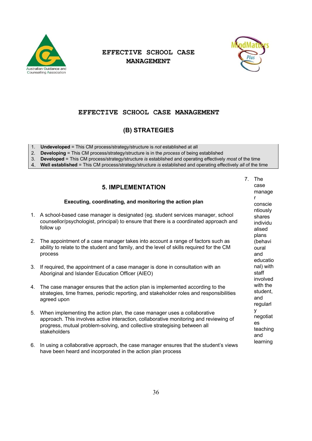



#### **EFFECTIVE SCHOOL CASE MANAGEMENT**

#### **(B) STRATEGIES**

- 1. **Undeveloped** = This CM process/strategy/structure is *not* established at all
- 2. **Developing** = This CM process/strategy/structure is in the *process* of being established

3. **Developed** = This CM process/strategy/structure *is* established and operating effectively *most* of the time

4. **Well established** = This CM process/strategy/structure *is* established and operating effectively *all* of the time

#### **5. IMPLEMENTATION**

#### **Executing, coordinating, and monitoring the action plan**

- 1. A school-based case manager is designated (eg. student services manager, school counsellor/psychologist, principal) to ensure that there is a coordinated approach and follow up
- 2. The appointment of a case manager takes into account a range of factors such as ability to relate to the student and family, and the level of skills required for the CM process
- 3. If required, the appointment of a case manager is done in consultation with an Aboriginal and Islander Education Officer (AIEO)
- 4. The case manager ensures that the action plan is implemented according to the strategies, time frames, periodic reporting, and stakeholder roles and responsibilities agreed upon
- 5. When implementing the action plan, the case manager uses a collaborative approach. This involves active interaction, collaborative monitoring and reviewing of progress, mutual problem-solving, and collective strategising between all **stakeholders**
- 6. In using a collaborative approach, the case manager ensures that the student's views have been heard and incorporated in the action plan process

7. The case manage r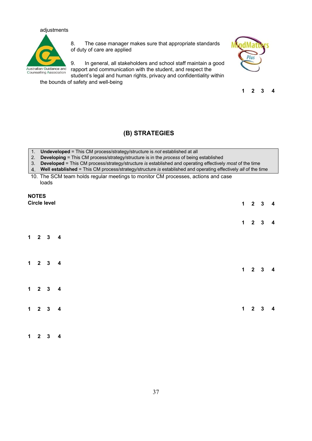## adjustments Australian Guidance and<br>Counselling Association

8. The case manager makes sure that appropriate standards of duty of care are applied

9. In general, all stakeholders and school staff maintain a good rapport and communication with the student, and respect the



**1 2 3 4** 

student's legal and human rights, privacy and confidentiality within the bounds of safety and well-being

#### **(B) STRATEGIES**

- 1. **Undeveloped** = This CM process/strategy/structure is *not* established at all
- 2. **Developing** = This CM process/strategy/structure is in the *process* of being established
- 3. **Developed** = This CM process/strategy/structure *is* established and operating effectively *most* of the time
- 4. **Well established** = This CM process/strategy/structure *is* established and operating effectively *all* of the time

10. The SCM team holds regular meetings to monitor CM processes, actions and case loads

#### **NOTES Circle level**

|  | Circle level                |  |                     | $1 \quad 2 \quad 3 \quad 4$ |                         |
|--|-----------------------------|--|---------------------|-----------------------------|-------------------------|
|  |                             |  | $1 \quad 2 \quad 3$ |                             | $\overline{\mathbf{4}}$ |
|  | $1 \quad 2 \quad 3 \quad 4$ |  |                     |                             |                         |
|  | $1 \quad 2 \quad 3 \quad 4$ |  | $1 \quad 2 \quad 3$ |                             | $\overline{\mathbf{4}}$ |
|  | $1 \quad 2 \quad 3 \quad 4$ |  |                     |                             |                         |
|  | $1 \quad 2 \quad 3 \quad 4$ |  | $1 \quad 2 \quad 3$ |                             | $\overline{\mathbf{4}}$ |
|  |                             |  |                     |                             |                         |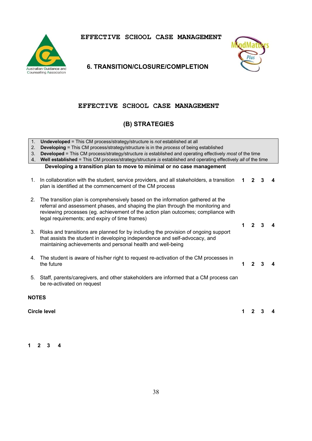



#### **6. TRANSITION/CLOSURE/COMPLETION**

#### **EFFECTIVE SCHOOL CASE MANAGEMENT**

#### **(B) STRATEGIES**

| 1.             | <b>Undeveloped</b> = This CM process/strategy/structure is not established at all                                                                                                                                                                                                                         |   |                |   |  |  |  |
|----------------|-----------------------------------------------------------------------------------------------------------------------------------------------------------------------------------------------------------------------------------------------------------------------------------------------------------|---|----------------|---|--|--|--|
| 2.             | <b>Developing = This CM process/strategy/structure is in the process of being established</b>                                                                                                                                                                                                             |   |                |   |  |  |  |
| 3.             | <b>Developed</b> = This CM process/strategy/structure is established and operating effectively most of the time                                                                                                                                                                                           |   |                |   |  |  |  |
| 4 <sup>1</sup> | Well established = This CM process/strategy/structure is established and operating effectively all of the time                                                                                                                                                                                            |   |                |   |  |  |  |
|                | Developing a transition plan to move to minimal or no case management                                                                                                                                                                                                                                     |   |                |   |  |  |  |
| 1.             | In collaboration with the student, service providers, and all stakeholders, a transition<br>plan is identified at the commencement of the CM process                                                                                                                                                      | 1 | $\mathbf{2}$   |   |  |  |  |
| 2.             | The transition plan is comprehensively based on the information gathered at the<br>referral and assessment phases, and shaping the plan through the monitoring and<br>reviewing processes (eg. achievement of the action plan outcomes; compliance with<br>legal requirements; and expiry of time frames) | 1 |                |   |  |  |  |
| 3.             | Risks and transitions are planned for by including the provision of ongoing support<br>that assists the student in developing independence and self-advocacy, and<br>maintaining achievements and personal health and well-being                                                                          |   |                |   |  |  |  |
| 4.             | The student is aware of his/her right to request re-activation of the CM processes in<br>the future                                                                                                                                                                                                       | 1 | $\mathfrak{p}$ | 3 |  |  |  |
| 5.             | Staff, parents/caregivers, and other stakeholders are informed that a CM process can<br>be re-activated on request                                                                                                                                                                                        |   |                |   |  |  |  |
| <b>NOTES</b>   |                                                                                                                                                                                                                                                                                                           |   |                |   |  |  |  |
|                | <b>Circle level</b><br>2<br>1                                                                                                                                                                                                                                                                             |   |                |   |  |  |  |

**1 2 3 4**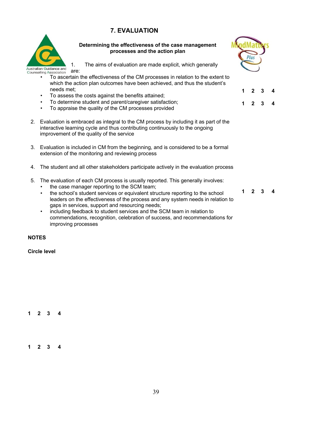#### **7. EVALUATION**



**Determining the effectiveness of the case management processes and the action plan** 



**1 2 3 4** 

**1 2 3 4** 

- 1. The aims of evaluation are made explicit, which generally
- are:
	- To ascertain the effectiveness of the CM processes in relation to the extent to which the action plan outcomes have been achieved, and thus the student's needs met;
	- To assess the costs against the benefits attained;
	- To determine student and parent/caregiver satisfaction;
	- To appraise the quality of the CM processes provided
- 2. Evaluation is embraced as integral to the CM process by including it as part of the interactive learning cycle and thus contributing continuously to the ongoing improvement of the quality of the service
- 3. Evaluation is included in CM from the beginning, and is considered to be a formal extension of the monitoring and reviewing process
- 4. The student and all other stakeholders participate actively in the evaluation process
- 5. The evaluation of each CM process is usually reported. This generally involves:
	- the case manager reporting to the SCM team:
	- the school's student services or equivalent structure reporting to the school leaders on the effectiveness of the process and any system needs in relation to gaps in services, support and resourcing needs;
	- including feedback to student services and the SCM team in relation to commendations, recognition, celebration of success, and recommendations for improving processes

**NOTES** 

**Circle level** 

**1 2 3 4** 

**1 2 3 4** 

**1 2 3 4**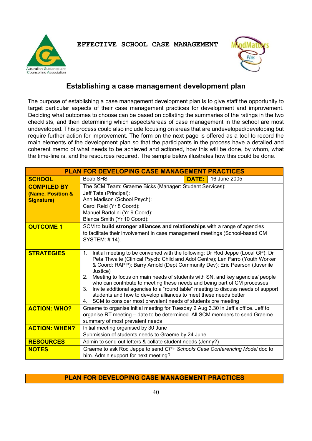Australian Guidance and **Counselling Association** 

**EFFECTIVE SCHOOL CASE MANAGEMENT** 



#### **Establishing a case management development plan**

The purpose of establishing a case management development plan is to give staff the opportunity to target particular aspects of their case management practices for development and improvement. Deciding what outcomes to choose can be based on collating the summaries of the ratings in the two checklists, and then determining which aspects/areas of case management in the school are most undeveloped. This process could also include focusing on areas that are undeveloped/developing but require further action for improvement. The form on the next page is offered as a tool to record the main elements of the development plan so that the participants in the process have a detailed and coherent memo of what needs to be achieved and actioned, how this will be done, by whom, what the time-line is, and the resources required. The sample below illustrates how this could be done.

| <b>PLAN FOR DEVELOPING CASE MANAGEMENT PRACTICES</b>         |                                                                                                                                                                                                                                                                                                                                                                                                                                                                                                                                                                                                                                                                    |              |              |  |  |
|--------------------------------------------------------------|--------------------------------------------------------------------------------------------------------------------------------------------------------------------------------------------------------------------------------------------------------------------------------------------------------------------------------------------------------------------------------------------------------------------------------------------------------------------------------------------------------------------------------------------------------------------------------------------------------------------------------------------------------------------|--------------|--------------|--|--|
| <b>SCHOOL</b>                                                | Boab SHS                                                                                                                                                                                                                                                                                                                                                                                                                                                                                                                                                                                                                                                           | <b>DATE:</b> | 16 June 2005 |  |  |
| <b>COMPILED BY</b><br>(Name, Position &<br><b>Signature)</b> | The SCM Team: Graeme Bicks (Manager: Student Services):<br>Jeff Tate (Principal):<br>Ann Madison (School Psych):<br>Carol Reid (Yr 8 Coord):<br>Manuel Bartolini (Yr 9 Coord):<br>Bianca Smith (Yr 10 Coord):                                                                                                                                                                                                                                                                                                                                                                                                                                                      |              |              |  |  |
| <b>OUTCOME 1</b>                                             | SCM to build stronger alliances and relationships with a range of agencies<br>to facilitate their involvement in case management meetings (School-based CM<br>SYSTEM: #14).                                                                                                                                                                                                                                                                                                                                                                                                                                                                                        |              |              |  |  |
| <b>STRATEGIES</b>                                            | Initial meeting to be convened with the following: Dr Rod Jeppe (Local GP); Dr<br>1.<br>Peta Thwaite (Clinical Psych: Child and Adol Centre); Len Farro (Youth Worker<br>& Coord: RAPP); Barry Arnold (Dept Community Dev); Eric Pearson (Juvenile<br>Justice)<br>Meeting to focus on main needs of students with SN, and key agencies/ people<br>2.<br>who can contribute to meeting these needs and being part of CM processes<br>Invite additional agencies to a "round table" meeting to discuss needs of support<br>3.<br>students and how to develop alliances to meet these needs better<br>4. SCM to consider most prevalent needs of students pre meeting |              |              |  |  |
| <b>ACTION: WHO?</b>                                          | Graeme to organise initial meeting for Tuesday 2 Aug 3.30 in Jeff's office. Jeff to<br>organise RT meeting - date to be determined. All SCM members to send Graeme<br>summary of most prevalent needs                                                                                                                                                                                                                                                                                                                                                                                                                                                              |              |              |  |  |
| <b>ACTION: WHEN?</b>                                         | Initial meeting organised by 30 June<br>Submission of students needs to Graeme by 24 June                                                                                                                                                                                                                                                                                                                                                                                                                                                                                                                                                                          |              |              |  |  |
| <b>RESOURCES</b>                                             | Admin to send out letters & collate student needs (Jenny?)                                                                                                                                                                                                                                                                                                                                                                                                                                                                                                                                                                                                         |              |              |  |  |
| <b>NOTES</b>                                                 | Graeme to ask Rod Jeppe to send GP+ Schools Case Conferencing Model doc to<br>him. Admin support for next meeting?                                                                                                                                                                                                                                                                                                                                                                                                                                                                                                                                                 |              |              |  |  |

#### **PLAN FOR DEVELOPING CASE MANAGEMENT PRACTICES**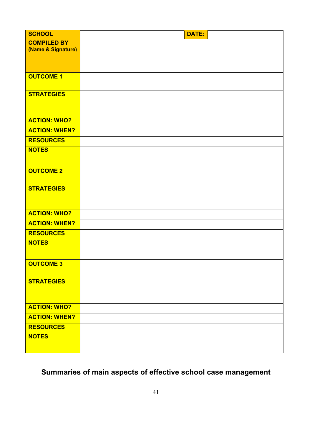| <b>SCHOOL</b>        | <b>DATE:</b> |
|----------------------|--------------|
| <b>COMPILED BY</b>   |              |
| (Name & Signature)   |              |
|                      |              |
| <b>OUTCOME 1</b>     |              |
|                      |              |
| <b>STRATEGIES</b>    |              |
|                      |              |
| <b>ACTION: WHO?</b>  |              |
| <b>ACTION: WHEN?</b> |              |
| <b>RESOURCES</b>     |              |
| <b>NOTES</b>         |              |
|                      |              |
| <b>OUTCOME 2</b>     |              |
|                      |              |
| <b>STRATEGIES</b>    |              |
|                      |              |
| <b>ACTION: WHO?</b>  |              |
| <b>ACTION: WHEN?</b> |              |
| <b>RESOURCES</b>     |              |
| <b>NOTES</b>         |              |
|                      |              |
| <b>OUTCOME 3</b>     |              |
|                      |              |
| <b>STRATEGIES</b>    |              |
|                      |              |
| <b>ACTION: WHO?</b>  |              |
| <b>ACTION: WHEN?</b> |              |
| <b>RESOURCES</b>     |              |
| <b>NOTES</b>         |              |
|                      |              |
|                      |              |

## **Summaries of main aspects of effective school case management**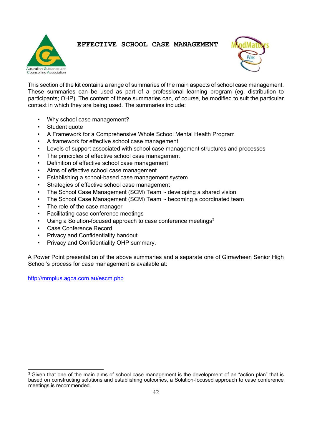



This section of the kit contains a range of summaries of the main aspects of school case management. These summaries can be used as part of a professional learning program (eg. distribution to participants; OHP). The content of these summaries can, of course, be modified to suit the particular context in which they are being used. The summaries include:

- Why school case management?
- Student quote
- A Framework for a Comprehensive Whole School Mental Health Program
- A framework for effective school case management
- Levels of support associated with school case management structures and processes
- The principles of effective school case management
- Definition of effective school case management
- Aims of effective school case management
- Establishing a school-based case management system
- Strategies of effective school case management
- The School Case Management (SCM) Team developing a shared vision
- The School Case Management (SCM) Team becoming a coordinated team
- The role of the case manager
- Facilitating case conference meetings
- Using a Solution-focused approach to case conference meetings $3$
- Case Conference Record
- Privacy and Confidentiality handout
- Privacy and Confidentiality OHP summary.

A Power Point presentation of the above summaries and a separate one of Girrawheen Senior High School's process for case management is available at:

http://mmplus.agca.com.au/escm.php

 $3$  Given that one of the main aims of school case management is the development of an "action plan" that is based on constructing solutions and establishing outcomes, a Solution-focused approach to case conference meetings is recommended.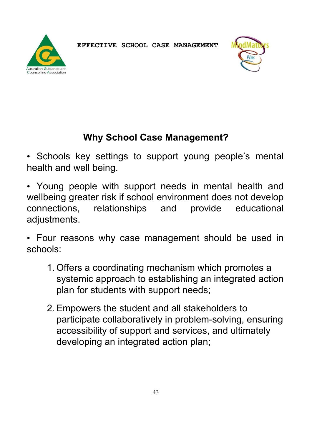



## **Why School Case Management?**

• Schools key settings to support young people's mental health and well being.

• Young people with support needs in mental health and wellbeing greater risk if school environment does not develop connections, relationships and provide educational adjustments.

• Four reasons why case management should be used in schools:

- 1. Offers a coordinating mechanism which promotes a systemic approach to establishing an integrated action plan for students with support needs;
- 2.Empowers the student and all stakeholders to participate collaboratively in problem-solving, ensuring accessibility of support and services, and ultimately developing an integrated action plan;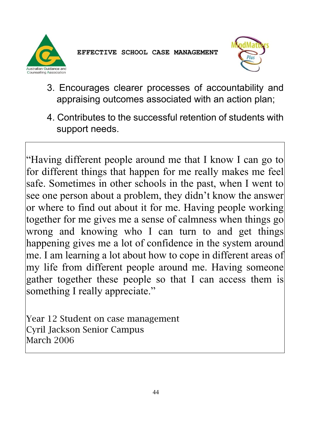



- 3. Encourages clearer processes of accountability and appraising outcomes associated with an action plan;
- 4. Contributes to the successful retention of students with support needs.

"Having different people around me that I know I can go to for different things that happen for me really makes me feel safe. Sometimes in other schools in the past, when I went to see one person about a problem, they didn't know the answer or where to find out about it for me. Having people working together for me gives me a sense of calmness when things go wrong and knowing who I can turn to and get things happening gives me a lot of confidence in the system around me. I am learning a lot about how to cope in different areas of my life from different people around me. Having someone gather together these people so that I can access them is something I really appreciate."

Year 12 Student on case management Cyril Jackson Senior Campus March 2006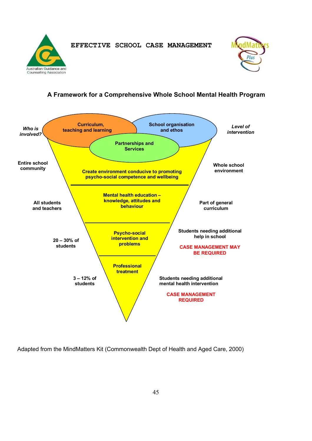Australian Guidance and **Counselling Association** 

**EFFECTIVE SCHOOL CASE MANAGEMENT** 



#### **A Framework for a Comprehensive Whole School Mental Health Program**



Adapted from the MindMatters Kit (Commonwealth Dept of Health and Aged Care, 2000)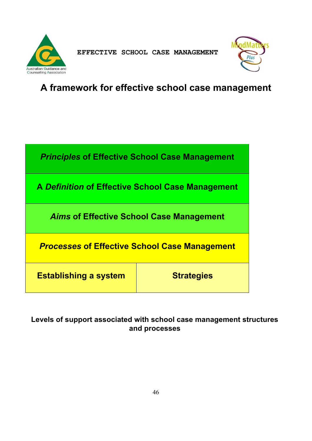



## **A framework for effective school case management**



**Levels of support associated with school case management structures and processes**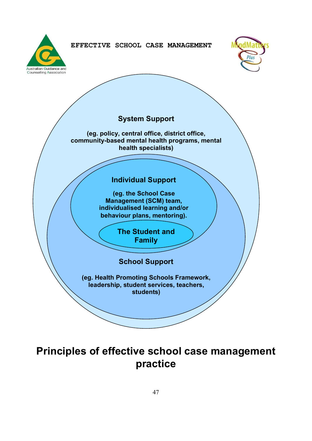





## **Principles of effective school case management practice**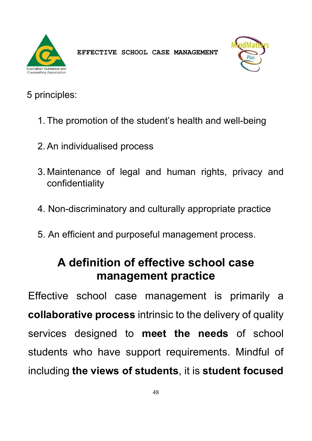



## 5 principles:

- 1. The promotion of the student's health and well-being
- 2.An individualised process
- 3. Maintenance of legal and human rights, privacy and confidentiality
- 4. Non-discriminatory and culturally appropriate practice
- 5. An efficient and purposeful management process.

## **A definition of effective school case management practice**

Effective school case management is primarily a **collaborative process** intrinsic to the delivery of quality services designed to **meet the needs** of school students who have support requirements. Mindful of including **the views of students**, it is **student focused**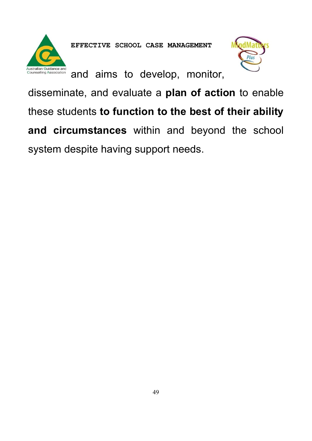

and aims to develop, monitor,



disseminate, and evaluate a **plan of action** to enable these students **to function to the best of their ability and circumstances** within and beyond the school system despite having support needs.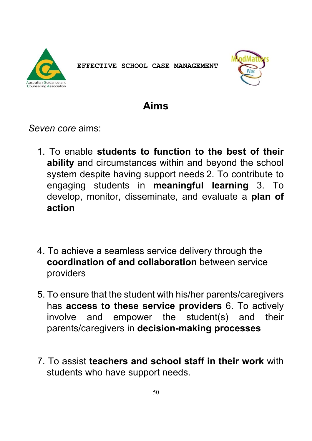



### **Aims**

*Seven core* aims:

- 1. To enable **students to function to the best of their ability** and circumstances within and beyond the school system despite having support needs 2. To contribute to engaging students in **meaningful learning** 3. To develop, monitor, disseminate, and evaluate a **plan of action**
- 4. To achieve a seamless service delivery through the **coordination of and collaboration** between service providers
- 5. To ensure that the student with his/her parents/caregivers has **access to these service providers** 6. To actively involve and empower the student(s) and their parents/caregivers in **decision-making processes**
- 7. To assist **teachers and school staff in their work** with students who have support needs.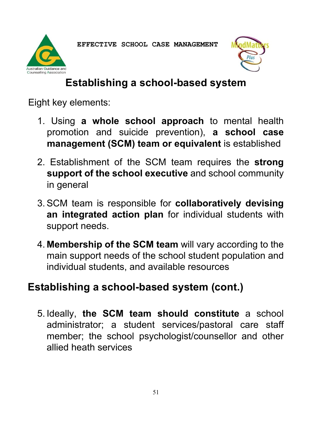



## **Establishing a school-based system**

Eight key elements:

- 1. Using **a whole school approach** to mental health promotion and suicide prevention), **a school case management (SCM) team or equivalent** is established
- 2. Establishment of the SCM team requires the **strong support of the school executive** and school community in general
- 3.SCM team is responsible for **collaboratively devising an integrated action plan** for individual students with support needs.
- 4. **Membership of the SCM team** will vary according to the main support needs of the school student population and individual students, and available resources

## **Establishing a school-based system (cont.)**

5. Ideally, **the SCM team should constitute** a school administrator; a student services/pastoral care staff member; the school psychologist/counsellor and other allied heath services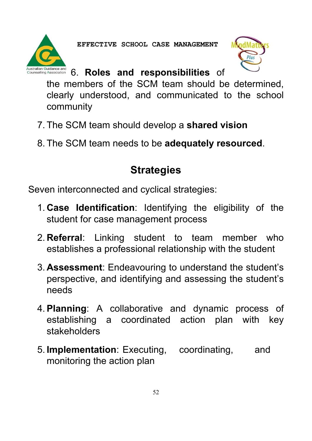

## 6. **Roles and responsibilities** of

the members of the SCM team should be determined, clearly understood, and communicated to the school community

- 7. The SCM team should develop a **shared vision**
- 8. The SCM team needs to be **adequately resourced**.

## **Strategies**

Seven interconnected and cyclical strategies:

- 1. **Case Identification**: Identifying the eligibility of the student for case management process
- 2. **Referral**: Linking student to team member who establishes a professional relationship with the student
- 3. **Assessment**: Endeavouring to understand the student's perspective, and identifying and assessing the student's needs
- 4.**Planning**: A collaborative and dynamic process of establishing a coordinated action plan with key stakeholders
- 5. **Implementation**: Executing, coordinating, and monitoring the action plan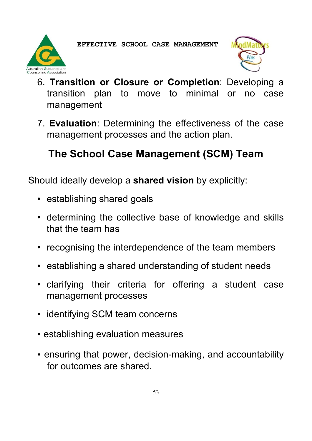



- 6. **Transition or Closure or Completion**: Developing a transition plan to move to minimal or no case management
- 7. **Evaluation**: Determining the effectiveness of the case management processes and the action plan.

## **The School Case Management (SCM) Team**

Should ideally develop a **shared vision** by explicitly:

- establishing shared goals
- determining the collective base of knowledge and skills that the team has
- recognising the interdependence of the team members
- establishing a shared understanding of student needs
- clarifying their criteria for offering a student case management processes
- identifying SCM team concerns
- establishing evaluation measures
- ensuring that power, decision-making, and accountability for outcomes are shared.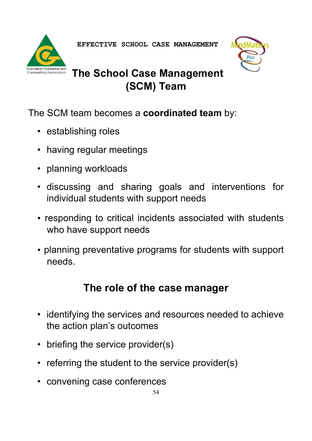



## **The School Case Management (SCM) Team**

The SCM team becomes a **coordinated team** by:

- establishing roles
- having regular meetings
- planning workloads
- discussing and sharing goals and interventions for individual students with support needs
- responding to critical incidents associated with students who have support needs
- planning preventative programs for students with support needs.

## **The role of the case manager**

- identifying the services and resources needed to achieve the action plan's outcomes
- briefing the service provider(s)
- referring the student to the service provider(s)
- convening case conferences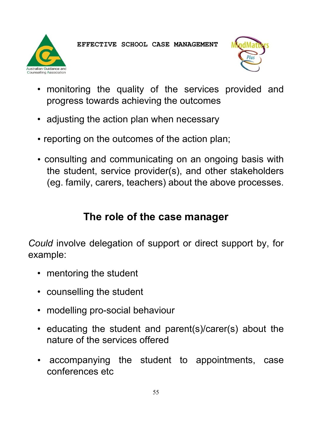**Counselling Association** 

• monitoring the quality of the services provided and progress towards achieving the outcomes

**EFFECTIVE SCHOOL CASE MANAGEMENT** 

- adjusting the action plan when necessary
- reporting on the outcomes of the action plan;
- consulting and communicating on an ongoing basis with the student, service provider(s), and other stakeholders (eg. family, carers, teachers) about the above processes.

## **The role of the case manager**

*Could* involve delegation of support or direct support by, for example:

- mentoring the student
- counselling the student
- modelling pro-social behaviour
- educating the student and parent(s)/carer(s) about the nature of the services offered
- accompanying the student to appointments, case conferences etc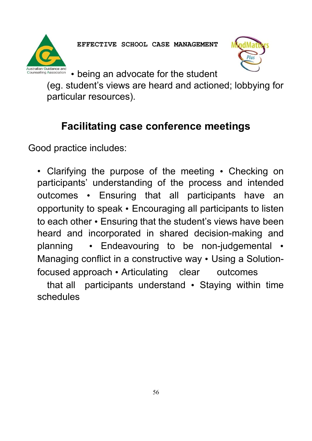



• being an advocate for the student

(eg. student's views are heard and actioned; lobbying for particular resources).

## **Facilitating case conference meetings**

Good practice includes:

• Clarifying the purpose of the meeting • Checking on participants' understanding of the process and intended outcomes • Ensuring that all participants have an opportunity to speak • Encouraging all participants to listen to each other • Ensuring that the student's views have been heard and incorporated in shared decision-making and planning • Endeavouring to be non-judgemental • Managing conflict in a constructive way • Using a Solutionfocused approach • Articulating clear outcomes

that all participants understand • Staying within time schedules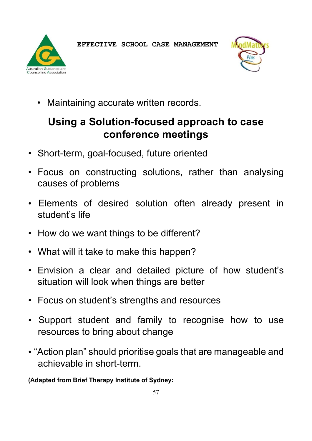



• Maintaining accurate written records.

## **Using a Solution-focused approach to case conference meetings**

- Short-term, goal-focused, future oriented
- Focus on constructing solutions, rather than analysing causes of problems
- Elements of desired solution often already present in student's life
- How do we want things to be different?
- What will it take to make this happen?
- Envision a clear and detailed picture of how student's situation will look when things are better
- Focus on student's strengths and resources
- Support student and family to recognise how to use resources to bring about change
- "Action plan" should prioritise goals that are manageable and achievable in short-term.

**(Adapted from Brief Therapy Institute of Sydney:**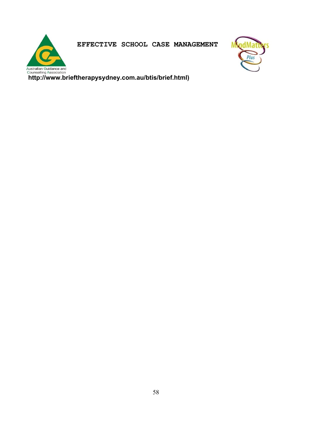

Australian Guidance and<br>Counselling Association<br>http://www.brieftherapysydney.com.au/btis/brief.html)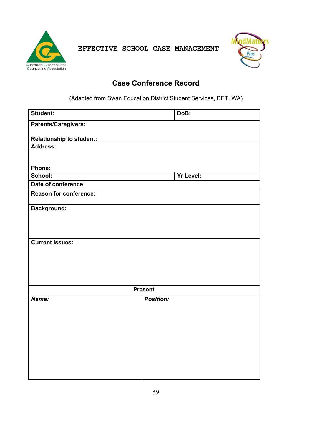



#### **Case Conference Record**

(Adapted from Swan Education District Student Services, DET, WA)

| Student:                        | DoB:             |
|---------------------------------|------------------|
| <b>Parents/Caregivers:</b>      |                  |
|                                 |                  |
| <b>Relationship to student:</b> |                  |
| Address:                        |                  |
|                                 |                  |
| Phone:                          |                  |
| School:                         | <b>Yr Level:</b> |
| Date of conference:             |                  |
| <b>Reason for conference:</b>   |                  |
| <b>Background:</b>              |                  |
|                                 |                  |
|                                 |                  |
|                                 |                  |
|                                 |                  |
| <b>Current issues:</b>          |                  |
|                                 |                  |
|                                 |                  |
|                                 |                  |
|                                 |                  |
|                                 |                  |
|                                 | <b>Present</b>   |
| Name:                           | <b>Position:</b> |
|                                 |                  |
|                                 |                  |
|                                 |                  |
|                                 |                  |
|                                 |                  |
|                                 |                  |
|                                 |                  |
|                                 |                  |
|                                 |                  |
|                                 |                  |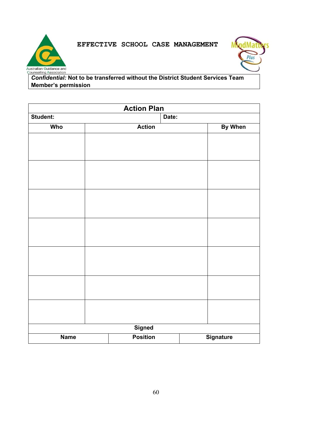# Australian Guidance and<br>Counselling Association



*Confidential:* **Not to be transferred without the District Student Services Team Member's permission** 

**EFFECTIVE SCHOOL CASE MANAGEMENT** 

| <b>Action Plan</b> |                                     |               |         |  |  |
|--------------------|-------------------------------------|---------------|---------|--|--|
| Student:           | Date:                               |               |         |  |  |
| Who                |                                     | <b>Action</b> | By When |  |  |
|                    |                                     |               |         |  |  |
|                    |                                     |               |         |  |  |
|                    |                                     |               |         |  |  |
|                    |                                     |               |         |  |  |
|                    |                                     |               |         |  |  |
|                    |                                     |               |         |  |  |
|                    |                                     |               |         |  |  |
|                    |                                     |               |         |  |  |
|                    |                                     |               |         |  |  |
|                    |                                     |               |         |  |  |
|                    |                                     |               |         |  |  |
|                    |                                     |               |         |  |  |
|                    |                                     |               |         |  |  |
|                    |                                     |               |         |  |  |
|                    |                                     |               |         |  |  |
|                    |                                     |               |         |  |  |
|                    |                                     |               |         |  |  |
|                    |                                     |               |         |  |  |
|                    |                                     |               |         |  |  |
|                    | <b>Signed</b>                       |               |         |  |  |
| <b>Name</b>        | <b>Position</b><br><b>Signature</b> |               |         |  |  |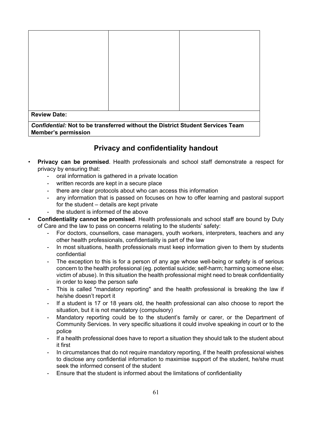| <b>Review Date:</b>                                                                   |  |  |  |  |  |  |
|---------------------------------------------------------------------------------------|--|--|--|--|--|--|
| <b>Confidential: Not to be transferred without the District Student Services Team</b> |  |  |  |  |  |  |
| <b>Member's permission</b>                                                            |  |  |  |  |  |  |

#### **Privacy and confidentiality handout**

- **Privacy can be promised**. Health professionals and school staff demonstrate a respect for privacy by ensuring that:
	- oral information is gathered in a private location
	- written records are kept in a secure place
	- there are clear protocols about who can access this information
	- any information that is passed on focuses on how to offer learning and pastoral support for the student – details are kept private
	- the student is informed of the above
- **Confidentiality cannot be promised**. Health professionals and school staff are bound by Duty of Care and the law to pass on concerns relating to the students' safety:
	- For doctors, counsellors, case managers, youth workers, interpreters, teachers and any other health professionals, confidentiality is part of the law
	- In most situations, health professionals must keep information given to them by students confidential
	- The exception to this is for a person of any age whose well-being or safety is of serious concern to the health professional (eg. potential suicide; self-harm; harming someone else; victim of abuse). In this situation the health professional might need to break confidentiality in order to keep the person safe
	- This is called "mandatory reporting" and the health professional is breaking the law if he/she doesn't report it
	- If a student is 17 or 18 years old, the health professional can also choose to report the situation, but it is not mandatory (compulsory)
	- Mandatory reporting could be to the student's family or carer, or the Department of Community Services. In very specific situations it could involve speaking in court or to the police
	- If a health professional does have to report a situation they should talk to the student about it first
	- In circumstances that do not require mandatory reporting, if the health professional wishes to disclose any confidential information to maximise support of the student, he/she must seek the informed consent of the student
	- Ensure that the student is informed about the limitations of confidentiality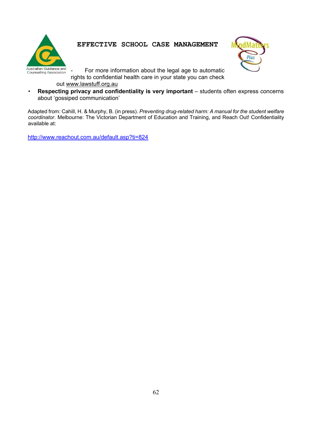



- For more information about the legal age to automatic

rights to confidential health care in your state you can check

out www.lawstuff.org.au

• **Respecting privacy and confidentiality is very important** – students often express concerns about 'gossiped communication'

Adapted from: Cahill, H. & Murphy, B. (in press). *Preventing drug-related harm: A manual for the student welfare coordinator*. Melbourne: The Victorian Department of Education and Training, and Reach Out! Confidentiality available at:

http://www.reachout.com.au/default.asp?ti=824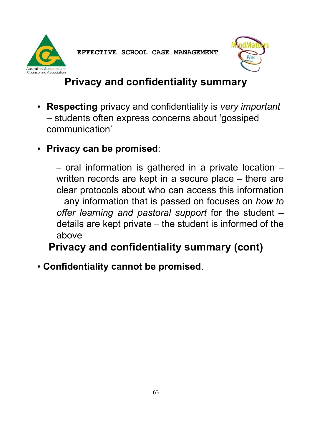



## **Privacy and confidentiality summary**

- **Respecting** privacy and confidentiality is *very important* – students often express concerns about 'gossiped communication'
- **Privacy can be promised**:

 $-$  oral information is gathered in a private location  $$ written records are kept in a secure place – there are clear protocols about who can access this information – any information that is passed on focuses on *how to offer learning and pastoral support* for the student – details are kept private – the student is informed of the above

**Privacy and confidentiality summary (cont)** 

• **Confidentiality cannot be promised**.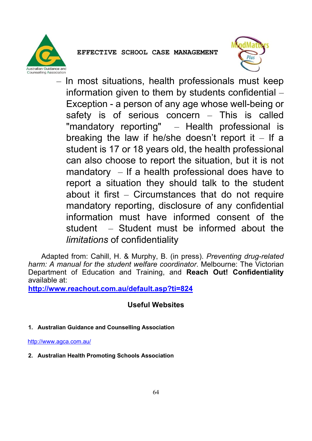



– In most situations, health professionals must keep information given to them by students confidential – Exception - a person of any age whose well-being or safety is of serious concern – This is called "mandatory reporting" – Health professional is breaking the law if he/she doesn't report it  $-$  If a student is 17 or 18 years old, the health professional can also choose to report the situation, but it is not mandatory  $-$  If a health professional does have to report a situation they should talk to the student about it first – Circumstances that do not require mandatory reporting, disclosure of any confidential information must have informed consent of the student – Student must be informed about the *limitations* of confidentiality

 Adapted from: Cahill, H. & Murphy, B. (in press). *Preventing drug-related harm: A manual for the student welfare coordinator*. Melbourne: The Victorian Department of Education and Training, and **Reach Out! Confidentiality**  available at:

**http://www.reachout.com.au/default.asp?ti=824**

#### **Useful Websites**

**1. Australian Guidance and Counselling Association** 

http://www.agca.com.au/

**2. Australian Health Promoting Schools Association**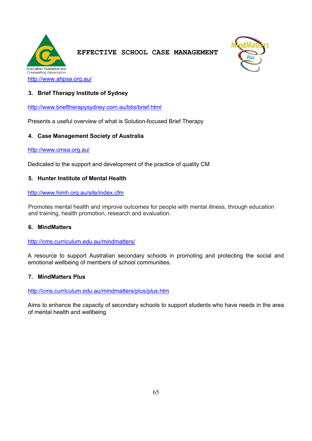

**EFFECTIVE SCHOOL CASE MANAGEMENT** 



# **3. Brief Therapy Institute of Sydney**

http://www.brieftherapysydney.com.au/btis/brief.html

Presents a useful overview of what is Solution-focused Brief Therapy

## **4. Case Management Society of Australia**

#### http://www.cmsa.org.au/

Dedicated to the support and development of the practice of quality CM

# **5. Hunter Institute of Mental Health**

http://www.himh.org.au/site/index.cfm

Promotes mental health and improve outcomes for people with mental illness, through education and training, health promotion, research and evaluation.

#### **6. MindMatters**

http://cms.curriculum.edu.au/mindmatters/

A resource to support Australian secondary schools in promoting and protecting the social and emotional wellbeing of members of school communities.

#### **7. MindMatters Plus**

http://cms.curriculum.edu.au/mindmatters/plus/plus.htm

Aims to enhance the capacity of secondary schools to support students who have needs in the area of mental health and wellbeing.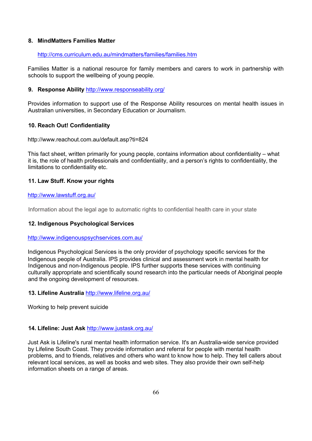## **8. MindMatters Families Matter**

#### http://cms.curriculum.edu.au/mindmatters/families/families.htm

Families Matter is a national resource for family members and carers to work in partnership with schools to support the wellbeing of young people.

## **9. Response Ability** http://www.responseability.org/

Provides information to support use of the Response Ability resources on mental health issues in Australian universities, in Secondary Education or Journalism.

## **10. Reach Out! Confidentiality**

http://www.reachout.com.au/default.asp?ti=824

This fact sheet, written primarily for young people, contains information about confidentiality – what it is, the role of health professionals and confidentiality, and a person's rights to confidentiality, the limitations to confidentiality etc.

# **11. Law Stuff. Know your rights**

#### http://www.lawstuff.org.au/

Information about the legal age to automatic rights to confidential health care in your state

## **12. Indigenous Psychological Services**

#### http://www.indigenouspsychservices.com.au/

Indigenous Psychological Services is the only provider of psychology specific services for the Indigenous people of Australia. IPS provides clinical and assessment work in mental health for Indigenous and non-Indigenous people. IPS further supports these services with continuing culturally appropriate and scientifically sound research into the particular needs of Aboriginal people and the ongoing development of resources.

# **13. Lifeline Australia** http://www.lifeline.org.au/

Working to help prevent suicide

#### **14. Lifeline: Just Ask** http://www.justask.org.au/

Just Ask is Lifeline's rural mental health information service. It's an Australia-wide service provided by Lifeline South Coast. They provide information and referral for people with mental health problems, and to friends, relatives and others who want to know how to help. They tell callers about relevant local services, as well as books and web sites. They also provide their own self-help information sheets on a range of areas.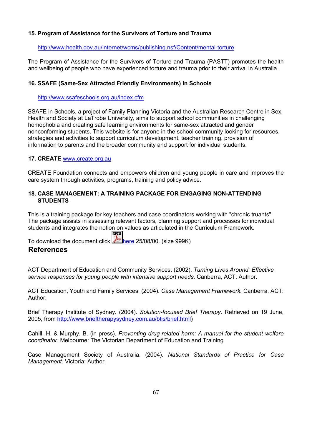# **15. Program of Assistance for the Survivors of Torture and Trauma**

#### http://www.health.gov.au/internet/wcms/publishing.nsf/Content/mental-torture

The Program of Assistance for the Survivors of Torture and Trauma (PASTT) promotes the health and wellbeing of people who have experienced torture and trauma prior to their arrival in Australia.

## **16. SSAFE (Same-Sex Attracted Friendly Environments) in Schools**

## http://www.ssafeschools.org.au/index.cfm

SSAFE in Schools, a project of Family Planning Victoria and the Australian Research Centre in Sex, Health and Society at LaTrobe University, aims to support school communities in challenging homophobia and creating safe learning environments for same-sex attracted and gender nonconforming students. This website is for anyone in the school community looking for resources, strategies and activities to support curriculum development, teacher training, provision of information to parents and the broader community and support for individual students.

## **17. CREATE** www.create.org.au

CREATE Foundation connects and empowers children and young people in care and improves the care system through activities, programs, training and policy advice.

# **18. CASE MANAGEMENT: A TRAINING PACKAGE FOR ENGAGING NON-ATTENDING STUDENTS**

This is a training package for key teachers and case coordinators working with "chronic truants". The package assists in assessing relevant factors, planning support and processes for individual students and integrates the notion on values as articulated in the Curriculum Framework.

To download the document click  $\mathbb{A}_{\text{here}}$  25/08/00. (size 999K)

POF

# **References**

ACT Department of Education and Community Services. (2002). *Turning Lives Around: Effective service responses for young people with intensive support needs*. Canberra, ACT: Author.

ACT Education, Youth and Family Services. (2004). *Case Management Framework.* Canberra, ACT: Author.

Brief Therapy Institute of Sydney. (2004). *Solution-focused Brief Therapy*. Retrieved on 19 June, 2005, from http://www.brieftherapysydney.com.au/btis/brief.html)

Cahill, H. & Murphy, B. (in press). *Preventing drug-related harm: A manual for the student welfare coordinator*. Melbourne: The Victorian Department of Education and Training

Case Management Society of Australia. (2004). *National Standards of Practice for Case Management*. Victoria: Author.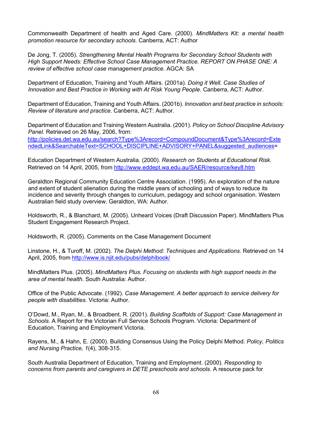Commonwealth Department of health and Aged Care. (2000). *MindMatters Kit: a mental health promotion resource for secondary schools*. Canberra, ACT: Author

De Jong, T. (2005). *Strengthening Mental Health Programs for Secondary School Students with High Support Needs: Effective School Case Management Practice. REPORT ON PHASE ONE: A review of effective school case management practice.* AGCA: SA

Department of Education, Training and Youth Affairs. (2001a). *Doing it Well. Case Studies of Innovation and Best Practice in Working with At Risk Young People.* Canberra, ACT: Author.

Department of Education, Training and Youth Affairs. (2001b). *Innovation and best practice in schools: Review of literature and practice*. Canberra, ACT: Author.

Department of Education and Training Western Australia. (2001). *Policy on School Discipline Advisory Panel.* Retrieved on 26 May, 2006, from:

http://policies.det.wa.edu.au/search?Type%3Arecord=CompoundDocument&Type%3Arecord=Exte ndedLink&SearchableText=SCHOOL+DISCIPLINE+ADVISORY+PANEL&suggested\_audiences=

Education Department of Western Australia. (2000). *Research on Students at Educational Risk.* Retrieved on 14 April, 2005, from http://www.eddept.wa.edu.au/SAER/resource/key8.htm

Geraldton Regional Community Education Centre Association. (1995). An exploration of the nature and extent of student alienation during the middle years of schooling and of ways to reduce its incidence and severity through changes to curriculum, pedagogy and school organisation. Western Australian field study overview. Geraldton, WA: Author.

Holdsworth, R., & Blanchard, M. (2005). Unheard Voices (Draft Discussion Paper). MindMatters Plus Student Engagement Research Project.

Holdsworth, R. (2005). Comments on the Case Management Document

Linstone, H., & Turoff, M. (2002). *The Delphi Method: Techniques and Applications*. Retrieved on 14 April, 2005, from http://www.is.njit.edu/pubs/delphibook/

MindMatters Plus. (2005). *MindMatters Plus. Focusing on students with high support needs in the area of mental health*. South Australia: Author.

Office of the Public Advocate. (1992). *Case Management. A better approach to service delivery for people with disabilities*. Victoria: Author.

O'Dowd, M., Ryan, M., & Broadbent, R. (2001). *Building Scaffolds of Support: Case Management in Schools*. A Report for the Victorian Full Service Schools Program. Victoria: Department of Education, Training and Employment Victoria.

Rayens, M., & Hahn, E. (2000). Building Consensus Using the Policy Delphi Method. *Policy, Politics and Nursing Practice, 1*(4), 308-315.

South Australia Department of Education, Training and Employment. (2000). *Responding to concerns from parents and caregivers in DETE preschools and schools.* A resource pack for